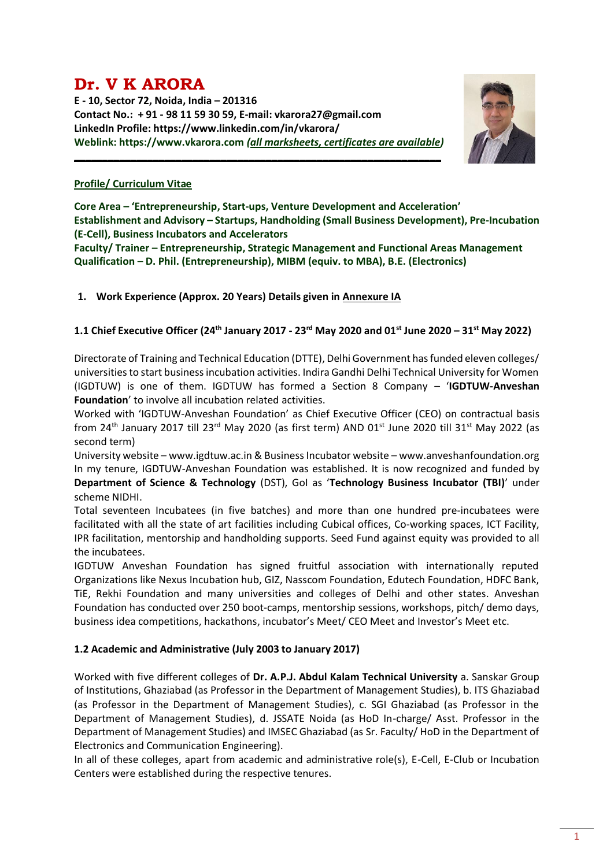# **Dr. V K ARORA**

**E - 10, Sector 72, Noida, India – 201316 Contact No.: + 91 - 98 11 59 30 59, E-mail: vkarora27@gmail.com LinkedIn Profile: https://www.linkedin.com/in/vkarora/ Weblink: https://www.vkarora.com** *(all marksheets, certificates are available)*

**\_\_\_\_\_\_\_\_\_\_\_\_\_\_\_\_\_\_\_\_\_\_\_\_\_\_\_\_\_\_\_\_\_\_\_\_\_\_\_\_\_\_\_\_\_\_\_\_\_\_\_\_\_\_\_\_\_\_\_\_\_\_\_\_\_**



# **Profile/ Curriculum Vitae**

**Core Area – 'Entrepreneurship, Start-ups, Venture Development and Acceleration' Establishment and Advisory – Startups, Handholding (Small Business Development), Pre-Incubation (E-Cell), Business Incubators and Accelerators**

**Faculty/ Trainer – Entrepreneurship, Strategic Management and Functional Areas Management Qualification** – **D. Phil. (Entrepreneurship), MIBM (equiv. to MBA), B.E. (Electronics)**

# **1. Work Experience (Approx. 20 Years) Details given in Annexure IA**

# **1.1 Chief Executive Officer (24th January 2017 - 23rd May 2020 and 01st June 2020 – 31st May 2022)**

Directorate of Training and Technical Education (DTTE), Delhi Government has funded eleven colleges/ universities to start business incubation activities. Indira Gandhi Delhi Technical University for Women (IGDTUW) is one of them. IGDTUW has formed a Section 8 Company – '**IGDTUW-Anveshan Foundation**' to involve all incubation related activities.

Worked with 'IGDTUW-Anveshan Foundation' as Chief Executive Officer (CEO) on contractual basis from 24<sup>th</sup> January 2017 till 23<sup>rd</sup> May 2020 (as first term) AND 01<sup>st</sup> June 2020 till 31<sup>st</sup> May 2022 (as second term)

University website – www.igdtuw.ac.in & Business Incubator website – [www.anveshanfoundation.org](http://www.anveshanfoundation.org/) In my tenure, IGDTUW-Anveshan Foundation was established. It is now recognized and funded by **Department of Science & Technology** (DST), GoI as '**Technology Business Incubator (TBI)**' under scheme NIDHI.

Total seventeen Incubatees (in five batches) and more than one hundred pre-incubatees were facilitated with all the state of art facilities including Cubical offices, Co-working spaces, ICT Facility, IPR facilitation, mentorship and handholding supports. Seed Fund against equity was provided to all the incubatees.

IGDTUW Anveshan Foundation has signed fruitful association with internationally reputed Organizations like Nexus Incubation hub, GIZ, Nasscom Foundation, Edutech Foundation, HDFC Bank, TiE, Rekhi Foundation and many universities and colleges of Delhi and other states. Anveshan Foundation has conducted over 250 boot-camps, mentorship sessions, workshops, pitch/ demo days, business idea competitions, hackathons, incubator's Meet/ CEO Meet and Investor's Meet etc.

# **1.2 Academic and Administrative (July 2003 to January 2017)**

Worked with five different colleges of **Dr. A.P.J. Abdul Kalam Technical University** a. Sanskar Group of Institutions, Ghaziabad (as Professor in the Department of Management Studies), b. ITS Ghaziabad (as Professor in the Department of Management Studies), c. SGI Ghaziabad (as Professor in the Department of Management Studies), d. JSSATE Noida (as HoD In-charge/ Asst. Professor in the Department of Management Studies) and IMSEC Ghaziabad (as Sr. Faculty/ HoD in the Department of Electronics and Communication Engineering).

In all of these colleges, apart from academic and administrative role(s), E-Cell, E-Club or Incubation Centers were established during the respective tenures.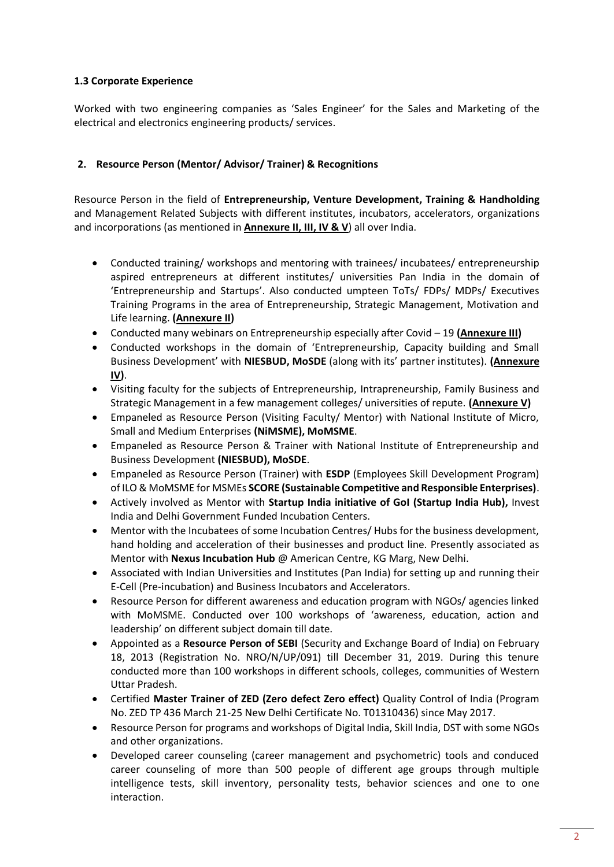# **1.3 Corporate Experience**

Worked with two engineering companies as 'Sales Engineer' for the Sales and Marketing of the electrical and electronics engineering products/ services.

# **2. Resource Person (Mentor/ Advisor/ Trainer) & Recognitions**

Resource Person in the field of **Entrepreneurship, Venture Development, Training & Handholding** and Management Related Subjects with different institutes, incubators, accelerators, organizations and incorporations (as mentioned in **Annexure II, III, IV & V**) all over India.

- Conducted training/ workshops and mentoring with trainees/ incubatees/ entrepreneurship aspired entrepreneurs at different institutes/ universities Pan India in the domain of 'Entrepreneurship and Startups'. Also conducted umpteen ToTs/ FDPs/ MDPs/ Executives Training Programs in the area of Entrepreneurship, Strategic Management, Motivation and Life learning. **(Annexure II)**
- Conducted many webinars on Entrepreneurship especially after Covid 19 **(Annexure III)**
- Conducted workshops in the domain of 'Entrepreneurship, Capacity building and Small Business Development' with **NIESBUD, MoSDE** (along with its' partner institutes). **(Annexure IV)**.
- Visiting faculty for the subjects of Entrepreneurship, Intrapreneurship, Family Business and Strategic Management in a few management colleges/ universities of repute. **(Annexure V)**
- Empaneled as Resource Person (Visiting Faculty/ Mentor) with National Institute of Micro, Small and Medium Enterprises **(NiMSME), MoMSME**.
- Empaneled as Resource Person & Trainer with National Institute of Entrepreneurship and Business Development **(NIESBUD), MoSDE**.
- Empaneled as Resource Person (Trainer) with **ESDP** (Employees Skill Development Program) of ILO & MoMSME for MSMEs **SCORE (Sustainable Competitive and Responsible Enterprises)**.
- Actively involved as Mentor with **Startup India initiative of GoI (Startup India Hub),** Invest India and Delhi Government Funded Incubation Centers.
- Mentor with the Incubatees of some Incubation Centres/ Hubs for the business development, hand holding and acceleration of their businesses and product line. Presently associated as Mentor with **Nexus Incubation Hub** @ American Centre, KG Marg, New Delhi.
- Associated with Indian Universities and Institutes (Pan India) for setting up and running their E-Cell (Pre-incubation) and Business Incubators and Accelerators.
- Resource Person for different awareness and education program with NGOs/ agencies linked with MoMSME. Conducted over 100 workshops of 'awareness, education, action and leadership' on different subject domain till date.
- Appointed as a **Resource Person of SEBI** (Security and Exchange Board of India) on February 18, 2013 (Registration No. NRO/N/UP/091) till December 31, 2019. During this tenure conducted more than 100 workshops in different schools, colleges, communities of Western Uttar Pradesh.
- Certified **Master Trainer of ZED (Zero defect Zero effect)** Quality Control of India (Program No. ZED TP 436 March 21-25 New Delhi Certificate No. T01310436) since May 2017.
- Resource Person for programs and workshops of Digital India, Skill India, DST with some NGOs and other organizations.
- Developed career counseling (career management and psychometric) tools and conduced career counseling of more than 500 people of different age groups through multiple intelligence tests, skill inventory, personality tests, behavior sciences and one to one interaction.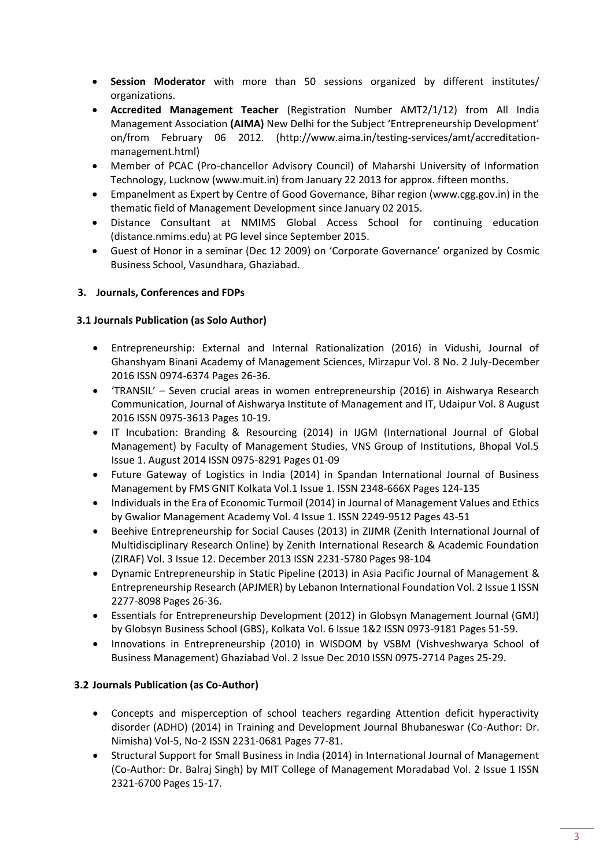- **Session Moderator** with more than 50 sessions organized by different institutes/ organizations.
- **Accredited Management Teacher** (Registration Number AMT2/1/12) from All India Management Association **(AIMA)** New Delhi for the Subject 'Entrepreneurship Development' on/from February 06 2012. [\(http://www.aima.in/testing-services/amt/accreditation](http://www.aima.in/testing-services/amt/accreditation-management.html)[management.html\)](http://www.aima.in/testing-services/amt/accreditation-management.html)
- Member of PCAC (Pro-chancellor Advisory Council) of Maharshi University of Information Technology, Lucknow (www.muit.in) from January 22 2013 for approx. fifteen months.
- Empanelment as Expert by Centre of Good Governance, Bihar region (www.cgg.gov.in) in the thematic field of Management Development since January 02 2015.
- Distance Consultant at NMIMS Global Access School for continuing education (distance.nmims.edu) at PG level since September 2015.
- Guest of Honor in a seminar (Dec 12 2009) on 'Corporate Governance' organized by Cosmic Business School, Vasundhara, Ghaziabad.

# **3. Journals, Conferences and FDPs**

# **3.1 Journals Publication (as Solo Author)**

- Entrepreneurship: External and Internal Rationalization (2016) in Vidushi, Journal of Ghanshyam Binani Academy of Management Sciences, Mirzapur Vol. 8 No. 2 July-December 2016 ISSN 0974-6374 Pages 26-36.
- 'TRANSIL' Seven crucial areas in women entrepreneurship (2016) in Aishwarya Research Communication, Journal of Aishwarya Institute of Management and IT, Udaipur Vol. 8 August 2016 ISSN 0975-3613 Pages 10-19.
- IT Incubation: Branding & Resourcing (2014) in IJGM (International Journal of Global Management) by Faculty of Management Studies, VNS Group of Institutions, Bhopal Vol.5 Issue 1. August 2014 ISSN 0975-8291 Pages 01-09
- Future Gateway of Logistics in India (2014) in Spandan International Journal of Business Management by FMS GNIT Kolkata Vol.1 Issue 1. ISSN 2348-666X Pages 124-135
- Individuals in the Era of Economic Turmoil (2014) in Journal of Management Values and Ethics by Gwalior Management Academy Vol. 4 Issue 1. ISSN 2249-9512 Pages 43-51
- Beehive Entrepreneurship for Social Causes (2013) in ZIJMR (Zenith International Journal of Multidisciplinary Research Online) by Zenith International Research & Academic Foundation (ZIRAF) Vol. 3 Issue 12. December 2013 ISSN 2231-5780 Pages 98-104
- Dynamic Entrepreneurship in Static Pipeline (2013) in Asia Pacific Journal of Management & Entrepreneurship Research (APJMER) by Lebanon International Foundation Vol. 2 Issue 1 ISSN 2277-8098 Pages 26-36.
- Essentials for Entrepreneurship Development (2012) in Globsyn Management Journal (GMJ) by Globsyn Business School (GBS), Kolkata Vol. 6 Issue 1&2 ISSN 0973-9181 Pages 51-59.
- Innovations in Entrepreneurship (2010) in WISDOM by VSBM (Vishveshwarya School of Business Management) Ghaziabad Vol. 2 Issue Dec 2010 ISSN 0975-2714 Pages 25-29.

# **3.2 Journals Publication (as Co-Author)**

- Concepts and misperception of school teachers regarding Attention deficit hyperactivity disorder (ADHD) (2014) in Training and Development Journal Bhubaneswar (Co-Author: Dr. Nimisha) Vol-5, No-2 ISSN 2231-0681 Pages 77-81.
- Structural Support for Small Business in India (2014) in International Journal of Management (Co-Author: Dr. Balraj Singh) by MIT College of Management Moradabad Vol. 2 Issue 1 ISSN 2321-6700 Pages 15-17.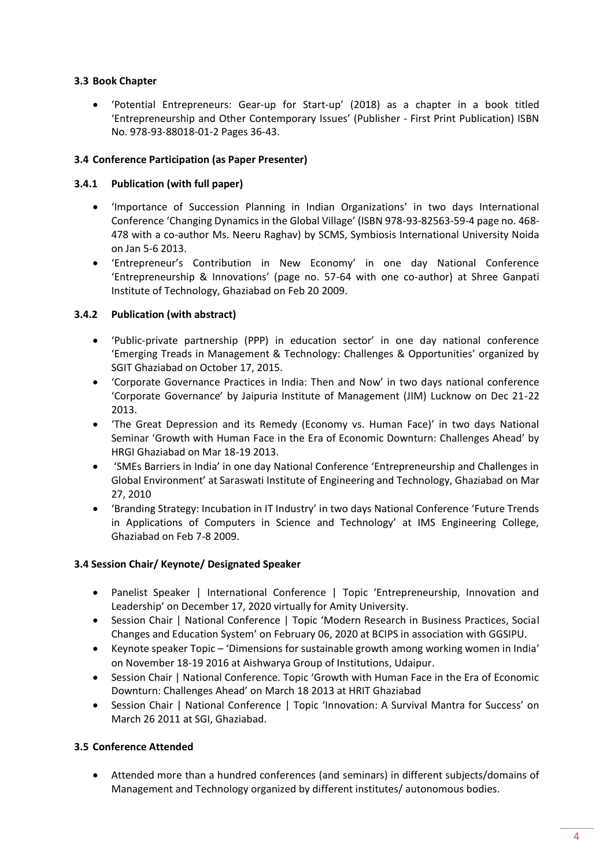# **3.3 Book Chapter**

• 'Potential Entrepreneurs: Gear-up for Start-up' (2018) as a chapter in a book titled 'Entrepreneurship and Other Contemporary Issues' (Publisher - First Print Publication) ISBN No. 978-93-88018-01-2 Pages 36-43.

# **3.4 Conference Participation (as Paper Presenter)**

#### **3.4.1 Publication (with full paper)**

- 'Importance of Succession Planning in Indian Organizations' in two days International Conference 'Changing Dynamics in the Global Village' (ISBN 978-93-82563-59-4 page no. 468- 478 with a co-author Ms. Neeru Raghav) by SCMS, Symbiosis International University Noida on Jan 5-6 2013.
- 'Entrepreneur's Contribution in New Economy' in one day National Conference 'Entrepreneurship & Innovations' (page no. 57-64 with one co-author) at Shree Ganpati Institute of Technology, Ghaziabad on Feb 20 2009.

### **3.4.2 Publication (with abstract)**

- 'Public-private partnership (PPP) in education sector' in one day national conference 'Emerging Treads in Management & Technology: Challenges & Opportunities' organized by SGIT Ghaziabad on October 17, 2015.
- 'Corporate Governance Practices in India: Then and Now' in two days national conference 'Corporate Governance' by Jaipuria Institute of Management (JIM) Lucknow on Dec 21-22 2013.
- 'The Great Depression and its Remedy (Economy vs. Human Face)' in two days National Seminar 'Growth with Human Face in the Era of Economic Downturn: Challenges Ahead' by HRGI Ghaziabad on Mar 18-19 2013.
- 'SMEs Barriers in India' in one day National Conference 'Entrepreneurship and Challenges in Global Environment' at Saraswati Institute of Engineering and Technology, Ghaziabad on Mar 27, 2010
- 'Branding Strategy: Incubation in IT Industry' in two days National Conference 'Future Trends in Applications of Computers in Science and Technology' at IMS Engineering College, Ghaziabad on Feb 7-8 2009.

#### **3.4 Session Chair/ Keynote/ Designated Speaker**

- Panelist Speaker | International Conference | Topic 'Entrepreneurship, Innovation and Leadership' on December 17, 2020 virtually for Amity University.
- Session Chair | National Conference | Topic 'Modern Research in Business Practices, Social Changes and Education System' on February 06, 2020 at BCIPS in association with GGSIPU.
- Keynote speaker Topic 'Dimensions for sustainable growth among working women in India' on November 18-19 2016 at Aishwarya Group of Institutions, Udaipur.
- Session Chair | National Conference. Topic 'Growth with Human Face in the Era of Economic Downturn: Challenges Ahead' on March 18 2013 at HRIT Ghaziabad
- Session Chair | National Conference | Topic 'Innovation: A Survival Mantra for Success' on March 26 2011 at SGI, Ghaziabad.

# **3.5 Conference Attended**

• Attended more than a hundred conferences (and seminars) in different subjects/domains of Management and Technology organized by different institutes/ autonomous bodies.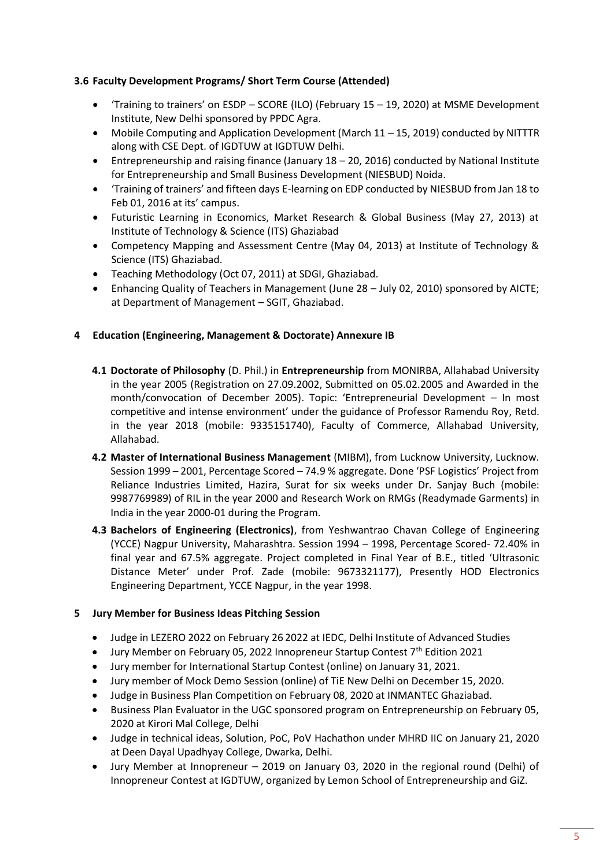# **3.6 Faculty Development Programs/ Short Term Course (Attended)**

- 'Training to trainers' on ESDP SCORE (ILO) (February 15 19, 2020) at MSME Development Institute, New Delhi sponsored by PPDC Agra.
- Mobile Computing and Application Development (March 11 15, 2019) conducted by NITTTR along with CSE Dept. of IGDTUW at IGDTUW Delhi.
- Entrepreneurship and raising finance (January 18 20, 2016) conducted by National Institute for Entrepreneurship and Small Business Development (NIESBUD) Noida.
- 'Training of trainers' and fifteen days E-learning on EDP conducted by NIESBUD from Jan 18 to Feb 01, 2016 at its' campus.
- Futuristic Learning in Economics, Market Research & Global Business (May 27, 2013) at Institute of Technology & Science (ITS) Ghaziabad
- Competency Mapping and Assessment Centre (May 04, 2013) at Institute of Technology & Science (ITS) Ghaziabad.
- Teaching Methodology (Oct 07, 2011) at SDGI, Ghaziabad.
- Enhancing Quality of Teachers in Management (June 28 July 02, 2010) sponsored by AICTE; at Department of Management – SGIT, Ghaziabad.

#### **4 Education (Engineering, Management & Doctorate) Annexure IB**

- **4.1 Doctorate of Philosophy** (D. Phil.) in **Entrepreneurship** from MONIRBA, Allahabad University in the year 2005 (Registration on 27.09.2002, Submitted on 05.02.2005 and Awarded in the month/convocation of December 2005). Topic: 'Entrepreneurial Development – In most competitive and intense environment' under the guidance of Professor Ramendu Roy, Retd. in the year 2018 (mobile: 9335151740), Faculty of Commerce, Allahabad University, Allahabad.
- **4.2 Master of International Business Management** (MIBM), from Lucknow University, Lucknow. Session 1999 – 2001, Percentage Scored – 74.9 % aggregate. Done 'PSF Logistics' Project from Reliance Industries Limited, Hazira, Surat for six weeks under Dr. Sanjay Buch (mobile: 9987769989) of RIL in the year 2000 and Research Work on RMGs (Readymade Garments) in India in the year 2000-01 during the Program.
- **4.3 Bachelors of Engineering (Electronics)**, from Yeshwantrao Chavan College of Engineering (YCCE) Nagpur University, Maharashtra. Session 1994 – 1998, Percentage Scored- 72.40% in final year and 67.5% aggregate. Project completed in Final Year of B.E., titled 'Ultrasonic Distance Meter' under Prof. Zade (mobile: 9673321177), Presently HOD Electronics Engineering Department, YCCE Nagpur, in the year 1998.

#### **5 Jury Member for Business Ideas Pitching Session**

- Judge in LEZERO 2022 on February 26 2022 at IEDC, Delhi Institute of Advanced Studies
- Jury Member on February 05, 2022 Innopreneur Startup Contest  $7<sup>th</sup>$  Edition 2021
- Jury member for International Startup Contest (online) on January 31, 2021.
- Jury member of Mock Demo Session (online) of TiE New Delhi on December 15, 2020.
- Judge in Business Plan Competition on February 08, 2020 at INMANTEC Ghaziabad.
- Business Plan Evaluator in the UGC sponsored program on Entrepreneurship on February 05, 2020 at Kirori Mal College, Delhi
- Judge in technical ideas, Solution, PoC, PoV Hachathon under MHRD IIC on January 21, 2020 at Deen Dayal Upadhyay College, Dwarka, Delhi.
- Jury Member at Innopreneur 2019 on January 03, 2020 in the regional round (Delhi) of Innopreneur Contest at IGDTUW, organized by Lemon School of Entrepreneurship and GiZ.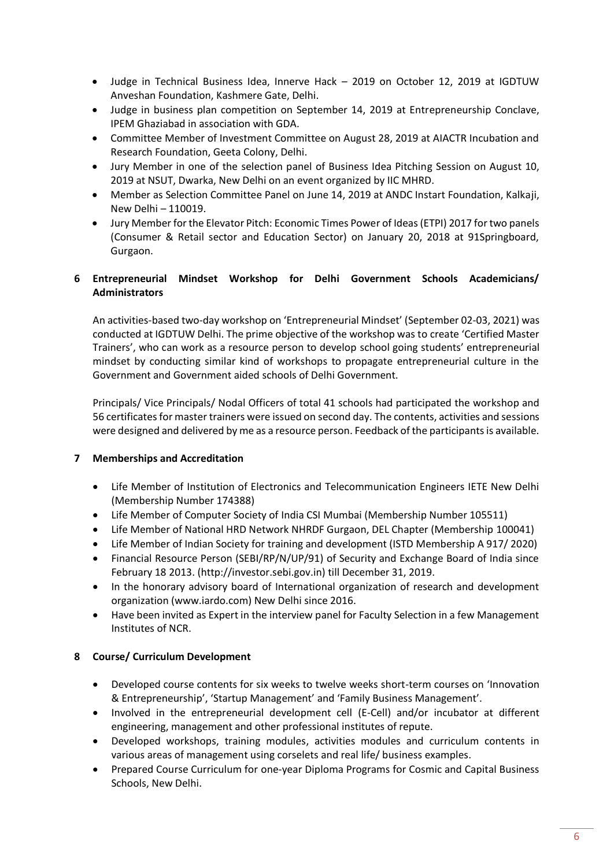- Judge in Technical Business Idea, Innerve Hack 2019 on October 12, 2019 at IGDTUW Anveshan Foundation, Kashmere Gate, Delhi.
- Judge in business plan competition on September 14, 2019 at Entrepreneurship Conclave, IPEM Ghaziabad in association with GDA.
- Committee Member of Investment Committee on August 28, 2019 at AIACTR Incubation and Research Foundation, Geeta Colony, Delhi.
- Jury Member in one of the selection panel of Business Idea Pitching Session on August 10, 2019 at NSUT, Dwarka, New Delhi on an event organized by IIC MHRD.
- Member as Selection Committee Panel on June 14, 2019 at ANDC Instart Foundation, Kalkaji, New Delhi – 110019.
- Jury Member for the Elevator Pitch: Economic Times Power of Ideas (ETPI) 2017 for two panels (Consumer & Retail sector and Education Sector) on January 20, 2018 at 91Springboard, Gurgaon.

# **6 Entrepreneurial Mindset Workshop for Delhi Government Schools Academicians/ Administrators**

An activities-based two-day workshop on 'Entrepreneurial Mindset' (September 02-03, 2021) was conducted at IGDTUW Delhi. The prime objective of the workshop was to create 'Certified Master Trainers', who can work as a resource person to develop school going students' entrepreneurial mindset by conducting similar kind of workshops to propagate entrepreneurial culture in the Government and Government aided schools of Delhi Government.

Principals/ Vice Principals/ Nodal Officers of total 41 schools had participated the workshop and 56 certificates for master trainers were issued on second day. The contents, activities and sessions were designed and delivered by me as a resource person. Feedback of the participants is available.

# **7 Memberships and Accreditation**

- Life Member of Institution of Electronics and Telecommunication Engineers IETE New Delhi (Membership Number 174388)
- Life Member of Computer Society of India CSI Mumbai (Membership Number 105511)
- Life Member of National HRD Network NHRDF Gurgaon, DEL Chapter (Membership 100041)
- Life Member of Indian Society for training and development (ISTD Membership A 917/ 2020)
- Financial Resource Person (SEBI/RP/N/UP/91) of Security and Exchange Board of India since February 18 2013. (http://investor.sebi.gov.in) till December 31, 2019.
- In the honorary advisory board of International organization of research and development organization (www.iardo.com) New Delhi since 2016.
- Have been invited as Expert in the interview panel for Faculty Selection in a few Management Institutes of NCR.

# **8 Course/ Curriculum Development**

- Developed course contents for six weeks to twelve weeks short-term courses on 'Innovation & Entrepreneurship', 'Startup Management' and 'Family Business Management'.
- Involved in the entrepreneurial development cell (E-Cell) and/or incubator at different engineering, management and other professional institutes of repute.
- Developed workshops, training modules, activities modules and curriculum contents in various areas of management using corselets and real life/ business examples.
- Prepared Course Curriculum for one-year Diploma Programs for Cosmic and Capital Business Schools, New Delhi.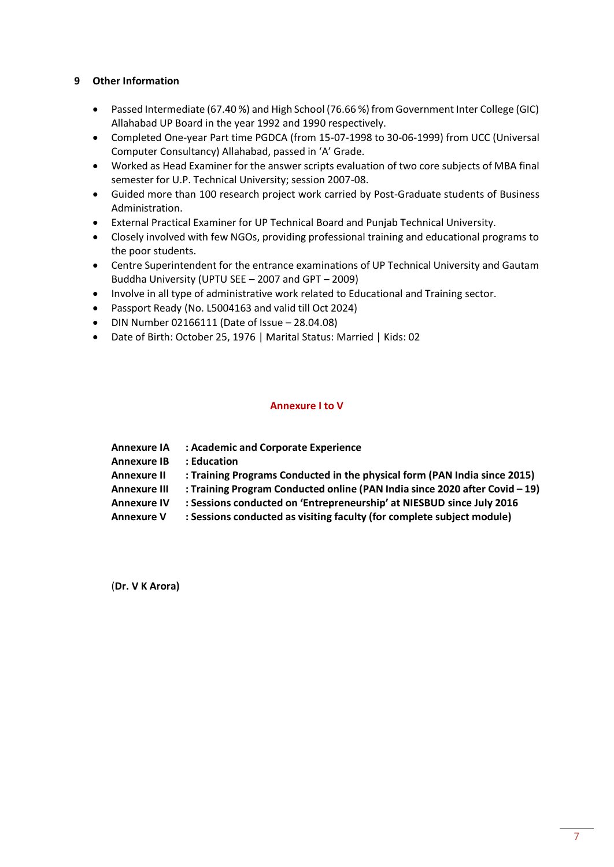## **9 Other Information**

- Passed Intermediate (67.40 %) and High School (76.66 %) from Government Inter College (GIC) Allahabad UP Board in the year 1992 and 1990 respectively.
- Completed One-year Part time PGDCA (from 15-07-1998 to 30-06-1999) from UCC (Universal Computer Consultancy) Allahabad, passed in 'A' Grade.
- Worked as Head Examiner for the answer scripts evaluation of two core subjects of MBA final semester for U.P. Technical University; session 2007-08.
- Guided more than 100 research project work carried by Post-Graduate students of Business Administration.
- External Practical Examiner for UP Technical Board and Punjab Technical University.
- Closely involved with few NGOs, providing professional training and educational programs to the poor students.
- Centre Superintendent for the entrance examinations of UP Technical University and Gautam Buddha University (UPTU SEE – 2007 and GPT – 2009)
- Involve in all type of administrative work related to Educational and Training sector.
- Passport Ready (No. L5004163 and valid till Oct 2024)
- DIN Number 02166111 (Date of Issue 28.04.08)
- Date of Birth: October 25, 1976 | Marital Status: Married | Kids: 02

#### **Annexure I to V**

| <b>Annexure IA</b>  | : Academic and Corporate Experience                                         |
|---------------------|-----------------------------------------------------------------------------|
| <b>Annexure IB</b>  | : Education                                                                 |
| <b>Annexure II</b>  | : Training Programs Conducted in the physical form (PAN India since 2015)   |
| <b>Annexure III</b> | : Training Program Conducted online (PAN India since 2020 after Covid - 19) |
| <b>Annexure IV</b>  | : Sessions conducted on 'Entrepreneurship' at NIESBUD since July 2016       |
| <b>Annexure V</b>   | : Sessions conducted as visiting faculty (for complete subject module)      |

(**Dr. V K Arora)**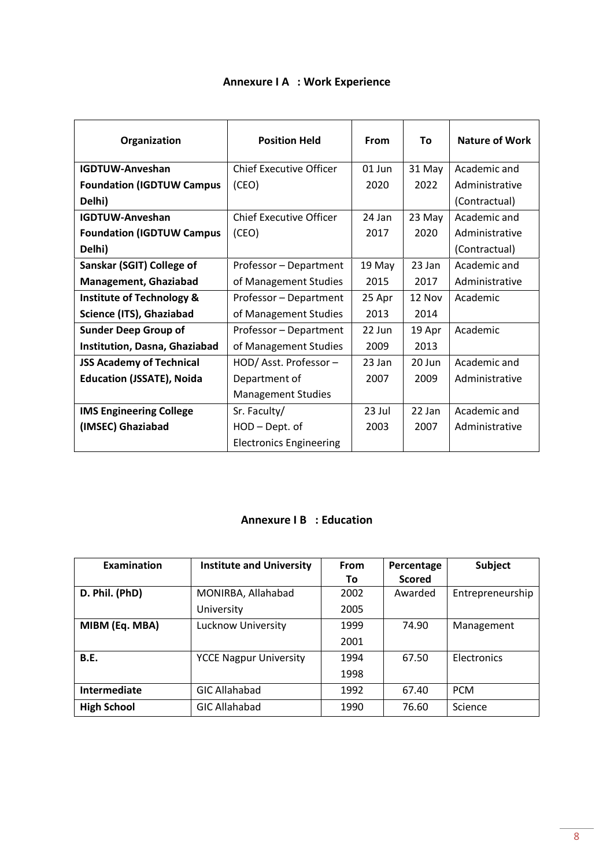| Organization                         | <b>Position Held</b>           | From   | To     | <b>Nature of Work</b> |
|--------------------------------------|--------------------------------|--------|--------|-----------------------|
| <b>IGDTUW-Anveshan</b>               | <b>Chief Executive Officer</b> | 01 Jun | 31 May | Academic and          |
| <b>Foundation (IGDTUW Campus</b>     | (CEO)                          | 2020   | 2022   | Administrative        |
| Delhi)                               |                                |        |        | (Contractual)         |
| <b>IGDTUW-Anveshan</b>               | Chief Executive Officer        | 24 Jan | 23 May | Academic and          |
| <b>Foundation (IGDTUW Campus</b>     | (CEO)                          | 2017   | 2020   | Administrative        |
| Delhi)                               |                                |        |        | (Contractual)         |
| Sanskar (SGIT) College of            | Professor - Department         | 19 May | 23 Jan | Academic and          |
| <b>Management, Ghaziabad</b>         | of Management Studies          | 2015   | 2017   | Administrative        |
| <b>Institute of Technology &amp;</b> | Professor - Department         | 25 Apr | 12 Nov | Academic              |
| Science (ITS), Ghaziabad             | of Management Studies          | 2013   | 2014   |                       |
| <b>Sunder Deep Group of</b>          | Professor - Department         | 22 Jun | 19 Apr | Academic              |
| Institution, Dasna, Ghaziabad        | of Management Studies          | 2009   | 2013   |                       |
| <b>JSS Academy of Technical</b>      | HOD/Asst. Professor-           | 23 Jan | 20 Jun | Academic and          |
| <b>Education (JSSATE), Noida</b>     | Department of                  | 2007   | 2009   | Administrative        |
|                                      | <b>Management Studies</b>      |        |        |                       |
| <b>IMS Engineering College</b>       | Sr. Faculty/                   | 23 Jul | 22 Jan | Academic and          |
| (IMSEC) Ghaziabad                    | HOD - Dept. of                 | 2003   | 2007   | Administrative        |
|                                      | <b>Electronics Engineering</b> |        |        |                       |

# **Annexure I A : Work Experience**

# **Annexure I B : Education**

| Examination        | <b>Institute and University</b> | From | Percentage    | Subject          |
|--------------------|---------------------------------|------|---------------|------------------|
|                    |                                 | To   | <b>Scored</b> |                  |
| D. Phil. (PhD)     | MONIRBA, Allahabad              | 2002 | Awarded       | Entrepreneurship |
|                    | University                      | 2005 |               |                  |
| MIBM (Eq. MBA)     | Lucknow University              | 1999 | 74.90         | Management       |
|                    |                                 | 2001 |               |                  |
| <b>B.E.</b>        | <b>YCCE Nagpur University</b>   | 1994 | 67.50         | Electronics      |
|                    |                                 | 1998 |               |                  |
| Intermediate       | <b>GIC Allahabad</b>            | 1992 | 67.40         | <b>PCM</b>       |
| <b>High School</b> | <b>GIC Allahabad</b>            | 1990 | 76.60         | Science          |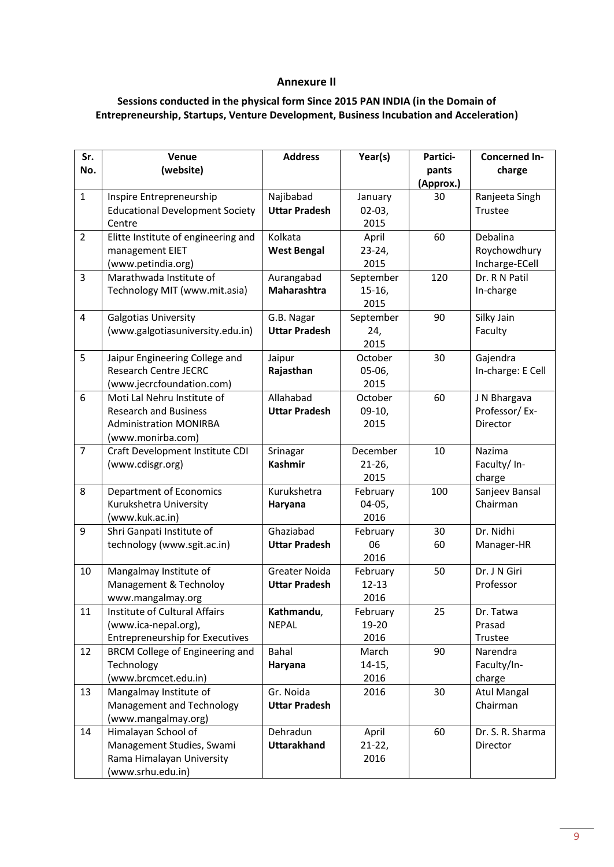#### **Annexure II**

# **Sessions conducted in the physical form Since 2015 PAN INDIA (in the Domain of Entrepreneurship, Startups, Venture Development, Business Incubation and Acceleration)**

| Sr.                      | Venue                                                     | <b>Address</b>                    | Year(s)          | Partici-  | <b>Concerned In-</b>           |
|--------------------------|-----------------------------------------------------------|-----------------------------------|------------------|-----------|--------------------------------|
| No.                      | (website)                                                 |                                   |                  | pants     | charge                         |
|                          |                                                           |                                   |                  | (Approx.) |                                |
| $\mathbf{1}$             | Inspire Entrepreneurship                                  | Najibabad                         | January          | 30        | Ranjeeta Singh                 |
|                          | <b>Educational Development Society</b>                    | <b>Uttar Pradesh</b>              | $02-03,$         |           | Trustee                        |
|                          | Centre                                                    |                                   | 2015             |           |                                |
| $\overline{2}$           | Elitte Institute of engineering and                       | Kolkata                           | April            | 60        | Debalina                       |
|                          | management EIET                                           | <b>West Bengal</b>                | $23 - 24,$       |           | Roychowdhury                   |
|                          | (www.petindia.org)                                        |                                   | 2015             |           | Incharge-ECell                 |
| $\overline{3}$           | Marathwada Institute of                                   | Aurangabad                        | September        | 120       | Dr. R N Patil                  |
|                          | Technology MIT (www.mit.asia)                             | <b>Maharashtra</b>                | $15-16,$         |           | In-charge                      |
|                          |                                                           |                                   | 2015             |           |                                |
| $\overline{\mathcal{L}}$ | Galgotias University                                      | G.B. Nagar                        | September        | 90        | Silky Jain                     |
|                          | (www.galgotiasuniversity.edu.in)                          | <b>Uttar Pradesh</b>              | 24,              |           | Faculty                        |
|                          |                                                           |                                   | 2015             |           |                                |
| 5                        | Jaipur Engineering College and                            | Jaipur                            | October          | 30        | Gajendra                       |
|                          | <b>Research Centre JECRC</b>                              | Rajasthan                         | $05-06,$         |           | In-charge: E Cell              |
|                          | (www.jecrcfoundation.com)                                 |                                   | 2015             |           |                                |
| 6                        | Moti Lal Nehru Institute of                               | Allahabad                         | October          | 60        | J N Bhargava                   |
|                          | <b>Research and Business</b>                              | <b>Uttar Pradesh</b>              | $09-10,$         |           | Professor/Ex-                  |
|                          | <b>Administration MONIRBA</b>                             |                                   | 2015             |           | Director                       |
|                          | (www.monirba.com)                                         |                                   |                  |           |                                |
| $\overline{7}$           | Craft Development Institute CDI                           | Srinagar                          | December         | 10        | Nazima                         |
|                          | (www.cdisgr.org)                                          | <b>Kashmir</b>                    | $21-26$          |           | Faculty/ In-                   |
|                          |                                                           |                                   | 2015             |           | charge                         |
| 8                        | <b>Department of Economics</b>                            | Kurukshetra                       | February         | 100       | Sanjeev Bansal                 |
|                          | Kurukshetra University                                    | Haryana                           | $04-05,$         |           | Chairman                       |
|                          | (www.kuk.ac.in)                                           |                                   | 2016             |           |                                |
| 9                        | Shri Ganpati Institute of                                 | Ghaziabad                         | February         | 30        | Dr. Nidhi                      |
|                          | technology (www.sgit.ac.in)                               | <b>Uttar Pradesh</b>              | 06               | 60        | Manager-HR                     |
|                          |                                                           |                                   | 2016             |           |                                |
| 10                       | Mangalmay Institute of                                    | Greater Noida                     | February         | 50        | Dr. J N Giri                   |
|                          | Management & Technoloy                                    | <b>Uttar Pradesh</b>              | $12 - 13$        |           | Professor                      |
|                          | www.mangalmay.org<br><b>Institute of Cultural Affairs</b> |                                   | 2016             |           |                                |
| 11                       |                                                           | Kathmandu,                        | February         | 25        | Dr. Tatwa                      |
|                          | (www.ica-nepal.org),                                      | <b>NEPAL</b>                      | 19-20            |           | Prasad                         |
| 12                       | Entrepreneurship for Executives                           | Bahal                             | 2016             | 90        | Trustee<br>Narendra            |
|                          | BRCM College of Engineering and                           |                                   | March            |           | Faculty/In-                    |
|                          | Technology                                                | Haryana                           | $14-15,$<br>2016 |           |                                |
|                          | (www.brcmcet.edu.in)                                      |                                   |                  |           | charge                         |
| 13                       | Mangalmay Institute of<br>Management and Technology       | Gr. Noida<br><b>Uttar Pradesh</b> | 2016             | 30        | <b>Atul Mangal</b><br>Chairman |
|                          |                                                           |                                   |                  |           |                                |
|                          | (www.mangalmay.org)                                       |                                   |                  |           |                                |
| 14                       | Himalayan School of                                       | Dehradun                          | April            | 60        | Dr. S. R. Sharma               |
|                          | Management Studies, Swami                                 | <b>Uttarakhand</b>                | $21-22,$         |           | Director                       |
|                          | Rama Himalayan University                                 |                                   | 2016             |           |                                |
|                          | (www.srhu.edu.in)                                         |                                   |                  |           |                                |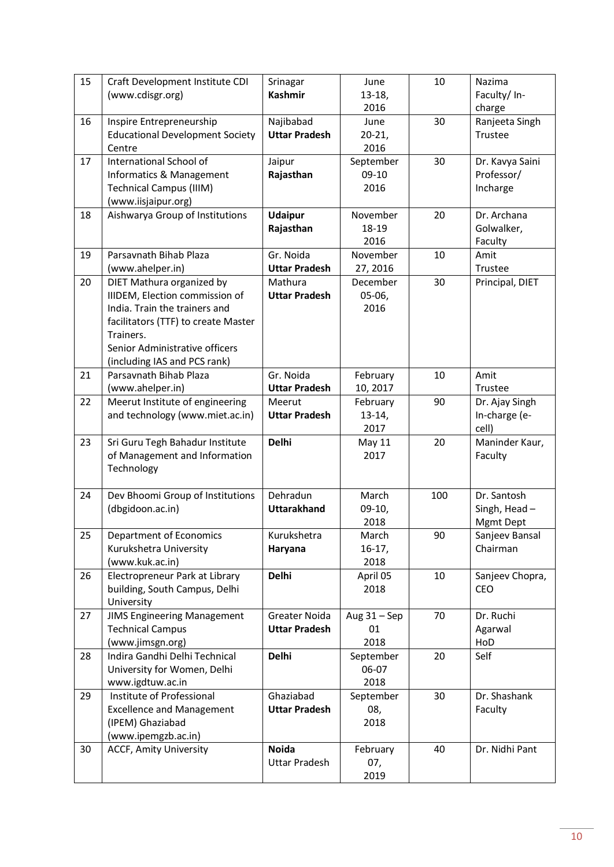| 15 | Craft Development Institute CDI        | Srinagar             | June           | 10  | Nazima          |
|----|----------------------------------------|----------------------|----------------|-----|-----------------|
|    | (www.cdisgr.org)                       | <b>Kashmir</b>       | $13-18,$       |     | Faculty/ In-    |
|    |                                        |                      | 2016           |     | charge          |
| 16 | Inspire Entrepreneurship               | Najibabad            | June           | 30  | Ranjeeta Singh  |
|    | <b>Educational Development Society</b> | <b>Uttar Pradesh</b> | $20 - 21$      |     | Trustee         |
|    | Centre                                 |                      | 2016           |     |                 |
| 17 | International School of                | Jaipur               | September      | 30  | Dr. Kavya Saini |
|    | Informatics & Management               | Rajasthan            | 09-10          |     | Professor/      |
|    | <b>Technical Campus (IIIM)</b>         |                      | 2016           |     | Incharge        |
|    | (www.iisjaipur.org)                    |                      |                |     |                 |
| 18 | Aishwarya Group of Institutions        | <b>Udaipur</b>       | November       | 20  | Dr. Archana     |
|    |                                        | Rajasthan            | 18-19          |     | Golwalker,      |
|    |                                        |                      | 2016           |     | Faculty         |
|    |                                        |                      |                |     |                 |
| 19 | Parsavnath Bihab Plaza                 | Gr. Noida            | November       | 10  | Amit            |
|    | (www.ahelper.in)                       | <b>Uttar Pradesh</b> | 27, 2016       |     | Trustee         |
| 20 | DIET Mathura organized by              | Mathura              | December       | 30  | Principal, DIET |
|    | IIIDEM, Election commission of         | <b>Uttar Pradesh</b> | $05-06,$       |     |                 |
|    | India. Train the trainers and          |                      | 2016           |     |                 |
|    | facilitators (TTF) to create Master    |                      |                |     |                 |
|    | Trainers.                              |                      |                |     |                 |
|    | Senior Administrative officers         |                      |                |     |                 |
|    | (including IAS and PCS rank)           |                      |                |     |                 |
| 21 | Parsavnath Bihab Plaza                 | Gr. Noida            | February       | 10  | Amit            |
|    | (www.ahelper.in)                       | <b>Uttar Pradesh</b> | 10, 2017       |     | Trustee         |
| 22 | Meerut Institute of engineering        | Meerut               | February       | 90  | Dr. Ajay Singh  |
|    | and technology (www.miet.ac.in)        | <b>Uttar Pradesh</b> | $13-14,$       |     | In-charge (e-   |
|    |                                        |                      | 2017           |     | cell)           |
| 23 | Sri Guru Tegh Bahadur Institute        | <b>Delhi</b>         | May 11         | 20  | Maninder Kaur,  |
|    | of Management and Information          |                      | 2017           |     | Faculty         |
|    | Technology                             |                      |                |     |                 |
|    |                                        |                      |                |     |                 |
| 24 | Dev Bhoomi Group of Institutions       | Dehradun             | March          | 100 | Dr. Santosh     |
|    | (dbgidoon.ac.in)                       | <b>Uttarakhand</b>   | $09-10,$       |     | Singh, Head-    |
|    |                                        |                      | 2018           |     | Mgmt Dept       |
| 25 | Department of Economics                | Kurukshetra          | March          | 90  | Sanjeev Bansal  |
|    | Kurukshetra University                 | Haryana              | $16-17,$       |     | Chairman        |
|    | (www.kuk.ac.in)                        |                      | 2018           |     |                 |
| 26 | Electropreneur Park at Library         | <b>Delhi</b>         | April 05       | 10  | Sanjeev Chopra, |
|    | building, South Campus, Delhi          |                      | 2018           |     | <b>CEO</b>      |
|    | University                             |                      |                |     |                 |
| 27 | <b>JIMS Engineering Management</b>     | Greater Noida        | Aug $31 -$ Sep | 70  | Dr. Ruchi       |
|    | <b>Technical Campus</b>                | <b>Uttar Pradesh</b> | 01             |     | Agarwal         |
|    | (www.jimsgn.org)                       |                      | 2018           |     | HoD             |
| 28 | Indira Gandhi Delhi Technical          | <b>Delhi</b>         | September      | 20  | Self            |
|    | University for Women, Delhi            |                      | 06-07          |     |                 |
|    | www.igdtuw.ac.in                       |                      | 2018           |     |                 |
| 29 | Institute of Professional              | Ghaziabad            | September      | 30  | Dr. Shashank    |
|    | <b>Excellence and Management</b>       | <b>Uttar Pradesh</b> |                |     | Faculty         |
|    |                                        |                      | 08,            |     |                 |
|    | (IPEM) Ghaziabad                       |                      | 2018           |     |                 |
|    | (www.ipemgzb.ac.in)                    |                      |                |     |                 |
| 30 | <b>ACCF, Amity University</b>          | <b>Noida</b>         | February       | 40  | Dr. Nidhi Pant  |
|    |                                        | <b>Uttar Pradesh</b> | 07,            |     |                 |
|    |                                        |                      | 2019           |     |                 |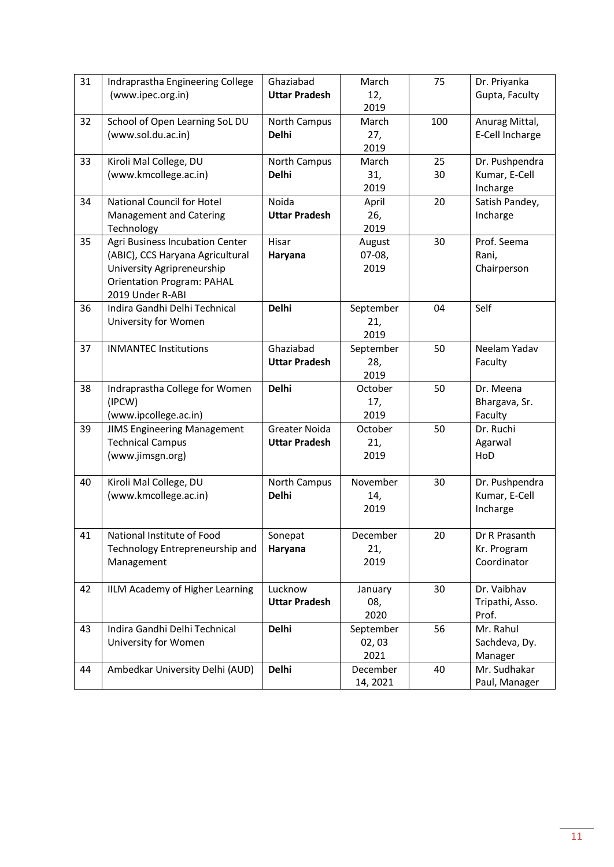| 31                   | Indraprastha Engineering College                                                                                                                                                                                                                              | Ghaziabad                                                                                             | March                                                                                                                  | 75                   | Dr. Priyanka                                                                                                                                                              |
|----------------------|---------------------------------------------------------------------------------------------------------------------------------------------------------------------------------------------------------------------------------------------------------------|-------------------------------------------------------------------------------------------------------|------------------------------------------------------------------------------------------------------------------------|----------------------|---------------------------------------------------------------------------------------------------------------------------------------------------------------------------|
|                      | (www.ipec.org.in)                                                                                                                                                                                                                                             | <b>Uttar Pradesh</b>                                                                                  | 12,                                                                                                                    |                      | Gupta, Faculty                                                                                                                                                            |
|                      |                                                                                                                                                                                                                                                               |                                                                                                       | 2019                                                                                                                   |                      |                                                                                                                                                                           |
| 32                   | School of Open Learning SoL DU                                                                                                                                                                                                                                | North Campus                                                                                          | March                                                                                                                  | 100                  | Anurag Mittal,                                                                                                                                                            |
|                      | (www.sol.du.ac.in)                                                                                                                                                                                                                                            | <b>Delhi</b>                                                                                          | 27,                                                                                                                    |                      | E-Cell Incharge                                                                                                                                                           |
|                      |                                                                                                                                                                                                                                                               |                                                                                                       | 2019                                                                                                                   |                      |                                                                                                                                                                           |
| 33                   | Kiroli Mal College, DU                                                                                                                                                                                                                                        | North Campus                                                                                          | March                                                                                                                  | 25                   | Dr. Pushpendra                                                                                                                                                            |
|                      | (www.kmcollege.ac.in)                                                                                                                                                                                                                                         | <b>Delhi</b>                                                                                          | 31,                                                                                                                    | 30                   | Kumar, E-Cell                                                                                                                                                             |
|                      |                                                                                                                                                                                                                                                               |                                                                                                       | 2019                                                                                                                   |                      | Incharge                                                                                                                                                                  |
| 34                   | National Council for Hotel                                                                                                                                                                                                                                    | Noida                                                                                                 | April                                                                                                                  | 20                   | Satish Pandey,                                                                                                                                                            |
|                      | Management and Catering                                                                                                                                                                                                                                       | <b>Uttar Pradesh</b>                                                                                  | 26,                                                                                                                    |                      | Incharge                                                                                                                                                                  |
|                      | Technology                                                                                                                                                                                                                                                    |                                                                                                       | 2019                                                                                                                   |                      |                                                                                                                                                                           |
| 35                   | Agri Business Incubation Center                                                                                                                                                                                                                               | Hisar                                                                                                 | August                                                                                                                 | 30                   | Prof. Seema                                                                                                                                                               |
|                      | (ABIC), CCS Haryana Agricultural                                                                                                                                                                                                                              | Haryana                                                                                               | $07-08,$                                                                                                               |                      | Rani,                                                                                                                                                                     |
|                      | University Agripreneurship                                                                                                                                                                                                                                    |                                                                                                       | 2019                                                                                                                   |                      | Chairperson                                                                                                                                                               |
|                      | <b>Orientation Program: PAHAL</b>                                                                                                                                                                                                                             |                                                                                                       |                                                                                                                        |                      |                                                                                                                                                                           |
|                      | 2019 Under R-ABI                                                                                                                                                                                                                                              |                                                                                                       |                                                                                                                        |                      |                                                                                                                                                                           |
| 36                   | Indira Gandhi Delhi Technical                                                                                                                                                                                                                                 | <b>Delhi</b>                                                                                          | September                                                                                                              | 04                   | Self                                                                                                                                                                      |
|                      | University for Women                                                                                                                                                                                                                                          |                                                                                                       | 21,                                                                                                                    |                      |                                                                                                                                                                           |
|                      |                                                                                                                                                                                                                                                               |                                                                                                       | 2019                                                                                                                   |                      |                                                                                                                                                                           |
| 37                   | <b>INMANTEC Institutions</b>                                                                                                                                                                                                                                  | Ghaziabad                                                                                             | September                                                                                                              | 50                   | Neelam Yadav                                                                                                                                                              |
|                      |                                                                                                                                                                                                                                                               | <b>Uttar Pradesh</b>                                                                                  | 28,                                                                                                                    |                      | Faculty                                                                                                                                                                   |
|                      |                                                                                                                                                                                                                                                               |                                                                                                       | 2019                                                                                                                   |                      |                                                                                                                                                                           |
| 38                   | Indraprastha College for Women                                                                                                                                                                                                                                | <b>Delhi</b>                                                                                          | October                                                                                                                | 50                   | Dr. Meena                                                                                                                                                                 |
|                      | (IPCW)                                                                                                                                                                                                                                                        |                                                                                                       | 17,                                                                                                                    |                      | Bhargava, Sr.                                                                                                                                                             |
|                      | (www.ipcollege.ac.in)                                                                                                                                                                                                                                         |                                                                                                       | 2019                                                                                                                   |                      | Faculty                                                                                                                                                                   |
| 39                   | <b>JIMS Engineering Management</b>                                                                                                                                                                                                                            | <b>Greater Noida</b>                                                                                  | October                                                                                                                | 50                   | Dr. Ruchi                                                                                                                                                                 |
|                      | <b>Technical Campus</b>                                                                                                                                                                                                                                       | <b>Uttar Pradesh</b>                                                                                  | 21,                                                                                                                    |                      | Agarwal                                                                                                                                                                   |
|                      | (www.jimsgn.org)                                                                                                                                                                                                                                              |                                                                                                       | 2019                                                                                                                   |                      | HoD                                                                                                                                                                       |
|                      |                                                                                                                                                                                                                                                               |                                                                                                       |                                                                                                                        |                      |                                                                                                                                                                           |
|                      |                                                                                                                                                                                                                                                               |                                                                                                       |                                                                                                                        |                      |                                                                                                                                                                           |
|                      |                                                                                                                                                                                                                                                               |                                                                                                       |                                                                                                                        |                      |                                                                                                                                                                           |
|                      |                                                                                                                                                                                                                                                               |                                                                                                       |                                                                                                                        |                      |                                                                                                                                                                           |
|                      |                                                                                                                                                                                                                                                               |                                                                                                       |                                                                                                                        |                      |                                                                                                                                                                           |
|                      |                                                                                                                                                                                                                                                               |                                                                                                       |                                                                                                                        |                      |                                                                                                                                                                           |
|                      |                                                                                                                                                                                                                                                               |                                                                                                       |                                                                                                                        |                      |                                                                                                                                                                           |
|                      |                                                                                                                                                                                                                                                               |                                                                                                       |                                                                                                                        |                      |                                                                                                                                                                           |
|                      |                                                                                                                                                                                                                                                               |                                                                                                       |                                                                                                                        |                      |                                                                                                                                                                           |
|                      |                                                                                                                                                                                                                                                               |                                                                                                       |                                                                                                                        |                      |                                                                                                                                                                           |
|                      |                                                                                                                                                                                                                                                               |                                                                                                       |                                                                                                                        |                      | Prof.                                                                                                                                                                     |
|                      |                                                                                                                                                                                                                                                               |                                                                                                       |                                                                                                                        |                      | Mr. Rahul                                                                                                                                                                 |
|                      |                                                                                                                                                                                                                                                               |                                                                                                       |                                                                                                                        |                      |                                                                                                                                                                           |
|                      |                                                                                                                                                                                                                                                               |                                                                                                       |                                                                                                                        |                      |                                                                                                                                                                           |
| 44                   |                                                                                                                                                                                                                                                               | <b>Delhi</b>                                                                                          | December                                                                                                               | 40                   | Mr. Sudhakar                                                                                                                                                              |
|                      |                                                                                                                                                                                                                                                               |                                                                                                       |                                                                                                                        |                      |                                                                                                                                                                           |
| 40<br>41<br>42<br>43 | Kiroli Mal College, DU<br>(www.kmcollege.ac.in)<br>National Institute of Food<br>Technology Entrepreneurship and<br>Management<br>IILM Academy of Higher Learning<br>Indira Gandhi Delhi Technical<br>University for Women<br>Ambedkar University Delhi (AUD) | North Campus<br><b>Delhi</b><br>Sonepat<br>Haryana<br>Lucknow<br><b>Uttar Pradesh</b><br><b>Delhi</b> | November<br>14,<br>2019<br>December<br>21,<br>2019<br>January<br>08,<br>2020<br>September<br>02,03<br>2021<br>14, 2021 | 30<br>20<br>30<br>56 | Dr. Pushpendra<br>Kumar, E-Cell<br>Incharge<br>Dr R Prasanth<br>Kr. Program<br>Coordinator<br>Dr. Vaibhav<br>Tripathi, Asso.<br>Sachdeva, Dy.<br>Manager<br>Paul, Manager |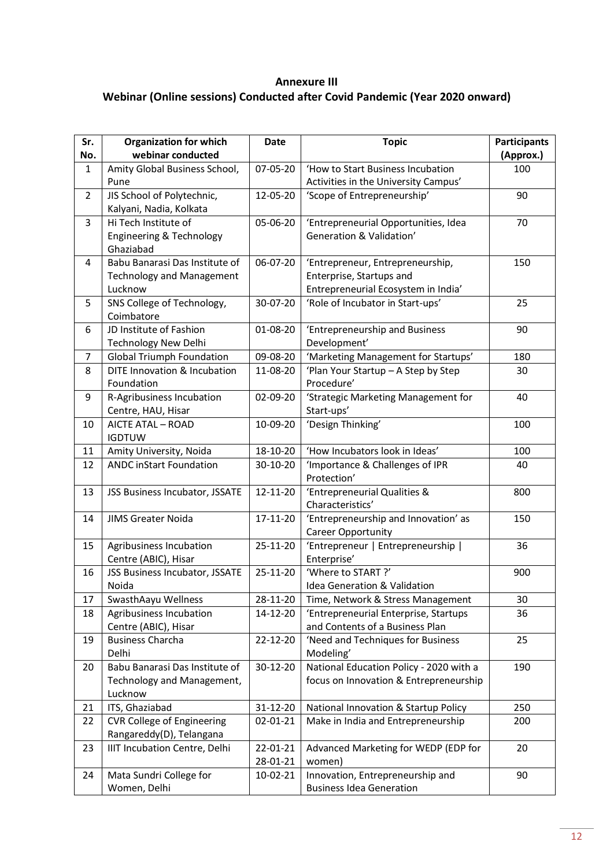# **Annexure III Webinar (Online sessions) Conducted after Covid Pandemic (Year 2020 onward)**

| webinar conducted<br>(Approx.)<br>No.<br>Amity Global Business School,<br>07-05-20<br>'How to Start Business Incubation<br>$\mathbf{1}$<br>100<br>Activities in the University Campus'<br>Pune<br>JIS School of Polytechnic,<br>12-05-20<br>$\overline{2}$<br>'Scope of Entrepreneurship'<br>90<br>Kalyani, Nadia, Kolkata<br>Hi Tech Institute of<br>3<br>05-06-20<br>'Entrepreneurial Opportunities, Idea<br>70<br>Generation & Validation'<br>Engineering & Technology<br>Ghaziabad<br>06-07-20<br>Babu Banarasi Das Institute of<br>150<br>'Entrepreneur, Entrepreneurship,<br>4<br>Enterprise, Startups and<br><b>Technology and Management</b><br>Entrepreneurial Ecosystem in India'<br>Lucknow<br>SNS College of Technology,<br>30-07-20<br>'Role of Incubator in Start-ups'<br>25<br>5<br>Coimbatore<br>JD Institute of Fashion<br>'Entrepreneurship and Business<br>01-08-20<br>90<br>6<br>Development'<br><b>Technology New Delhi</b><br><b>Global Triumph Foundation</b><br>'Marketing Management for Startups'<br>09-08-20<br>180<br>7<br>DITE Innovation & Incubation<br>11-08-20<br>'Plan Your Startup - A Step by Step<br>8<br>30<br>Foundation<br>Procedure'<br>9<br>R-Agribusiness Incubation<br>02-09-20<br>'Strategic Marketing Management for<br>40<br>Start-ups'<br>Centre, HAU, Hisar<br>'Design Thinking'<br>AICTE ATAL - ROAD<br>10-09-20<br>100<br>10<br><b>IGDTUW</b><br>'How Incubators look in Ideas'<br>Amity University, Noida<br>18-10-20<br>11<br>100<br><b>ANDC inStart Foundation</b><br>'Importance & Challenges of IPR<br>12<br>30-10-20<br>40<br>Protection'<br>12-11-20<br>'Entrepreneurial Qualities &<br>13<br>JSS Business Incubator, JSSATE<br>800<br>Characteristics'<br>'Entrepreneurship and Innovation' as<br>14<br><b>JIMS Greater Noida</b><br>17-11-20<br>150<br>Career Opportunity<br>'Entrepreneur   Entrepreneurship  <br>Agribusiness Incubation<br>25-11-20<br>15<br>36<br>Enterprise'<br>Centre (ABIC), Hisar<br>25-11-20<br>'Where to START ?'<br>JSS Business Incubator, JSSATE<br>900<br>16<br>Noida<br>Idea Generation & Validation<br>SwasthAayu Wellness<br>28-11-20<br>Time, Network & Stress Management<br>17<br>30<br>Agribusiness Incubation<br>18<br>14-12-20<br>'Entrepreneurial Enterprise, Startups<br>36<br>and Contents of a Business Plan<br>Centre (ABIC), Hisar<br><b>Business Charcha</b><br>22-12-20<br>'Need and Techniques for Business<br>25<br>19<br>Delhi<br>Modeling'<br>Babu Banarasi Das Institute of<br>National Education Policy - 2020 with a<br>30-12-20<br>190<br>20<br>Technology and Management,<br>focus on Innovation & Entrepreneurship<br>Lucknow<br>ITS, Ghaziabad<br>31-12-20<br>National Innovation & Startup Policy<br>250<br>21<br><b>CVR College of Engineering</b><br>02-01-21<br>Make in India and Entrepreneurship<br>200<br>22 | Sr. | <b>Organization for which</b> | Date | <b>Topic</b> | <b>Participants</b> |
|------------------------------------------------------------------------------------------------------------------------------------------------------------------------------------------------------------------------------------------------------------------------------------------------------------------------------------------------------------------------------------------------------------------------------------------------------------------------------------------------------------------------------------------------------------------------------------------------------------------------------------------------------------------------------------------------------------------------------------------------------------------------------------------------------------------------------------------------------------------------------------------------------------------------------------------------------------------------------------------------------------------------------------------------------------------------------------------------------------------------------------------------------------------------------------------------------------------------------------------------------------------------------------------------------------------------------------------------------------------------------------------------------------------------------------------------------------------------------------------------------------------------------------------------------------------------------------------------------------------------------------------------------------------------------------------------------------------------------------------------------------------------------------------------------------------------------------------------------------------------------------------------------------------------------------------------------------------------------------------------------------------------------------------------------------------------------------------------------------------------------------------------------------------------------------------------------------------------------------------------------------------------------------------------------------------------------------------------------------------------------------------------------------------------------------------------------------------------------------------------------------------------------------------------------------------------------------------------------------------------------------------------------------------------------------------------------------------------------------------------------------------------------------------------------------------------------------------|-----|-------------------------------|------|--------------|---------------------|
|                                                                                                                                                                                                                                                                                                                                                                                                                                                                                                                                                                                                                                                                                                                                                                                                                                                                                                                                                                                                                                                                                                                                                                                                                                                                                                                                                                                                                                                                                                                                                                                                                                                                                                                                                                                                                                                                                                                                                                                                                                                                                                                                                                                                                                                                                                                                                                                                                                                                                                                                                                                                                                                                                                                                                                                                                                          |     |                               |      |              |                     |
|                                                                                                                                                                                                                                                                                                                                                                                                                                                                                                                                                                                                                                                                                                                                                                                                                                                                                                                                                                                                                                                                                                                                                                                                                                                                                                                                                                                                                                                                                                                                                                                                                                                                                                                                                                                                                                                                                                                                                                                                                                                                                                                                                                                                                                                                                                                                                                                                                                                                                                                                                                                                                                                                                                                                                                                                                                          |     |                               |      |              |                     |
|                                                                                                                                                                                                                                                                                                                                                                                                                                                                                                                                                                                                                                                                                                                                                                                                                                                                                                                                                                                                                                                                                                                                                                                                                                                                                                                                                                                                                                                                                                                                                                                                                                                                                                                                                                                                                                                                                                                                                                                                                                                                                                                                                                                                                                                                                                                                                                                                                                                                                                                                                                                                                                                                                                                                                                                                                                          |     |                               |      |              |                     |
|                                                                                                                                                                                                                                                                                                                                                                                                                                                                                                                                                                                                                                                                                                                                                                                                                                                                                                                                                                                                                                                                                                                                                                                                                                                                                                                                                                                                                                                                                                                                                                                                                                                                                                                                                                                                                                                                                                                                                                                                                                                                                                                                                                                                                                                                                                                                                                                                                                                                                                                                                                                                                                                                                                                                                                                                                                          |     |                               |      |              |                     |
|                                                                                                                                                                                                                                                                                                                                                                                                                                                                                                                                                                                                                                                                                                                                                                                                                                                                                                                                                                                                                                                                                                                                                                                                                                                                                                                                                                                                                                                                                                                                                                                                                                                                                                                                                                                                                                                                                                                                                                                                                                                                                                                                                                                                                                                                                                                                                                                                                                                                                                                                                                                                                                                                                                                                                                                                                                          |     |                               |      |              |                     |
|                                                                                                                                                                                                                                                                                                                                                                                                                                                                                                                                                                                                                                                                                                                                                                                                                                                                                                                                                                                                                                                                                                                                                                                                                                                                                                                                                                                                                                                                                                                                                                                                                                                                                                                                                                                                                                                                                                                                                                                                                                                                                                                                                                                                                                                                                                                                                                                                                                                                                                                                                                                                                                                                                                                                                                                                                                          |     |                               |      |              |                     |
|                                                                                                                                                                                                                                                                                                                                                                                                                                                                                                                                                                                                                                                                                                                                                                                                                                                                                                                                                                                                                                                                                                                                                                                                                                                                                                                                                                                                                                                                                                                                                                                                                                                                                                                                                                                                                                                                                                                                                                                                                                                                                                                                                                                                                                                                                                                                                                                                                                                                                                                                                                                                                                                                                                                                                                                                                                          |     |                               |      |              |                     |
|                                                                                                                                                                                                                                                                                                                                                                                                                                                                                                                                                                                                                                                                                                                                                                                                                                                                                                                                                                                                                                                                                                                                                                                                                                                                                                                                                                                                                                                                                                                                                                                                                                                                                                                                                                                                                                                                                                                                                                                                                                                                                                                                                                                                                                                                                                                                                                                                                                                                                                                                                                                                                                                                                                                                                                                                                                          |     |                               |      |              |                     |
|                                                                                                                                                                                                                                                                                                                                                                                                                                                                                                                                                                                                                                                                                                                                                                                                                                                                                                                                                                                                                                                                                                                                                                                                                                                                                                                                                                                                                                                                                                                                                                                                                                                                                                                                                                                                                                                                                                                                                                                                                                                                                                                                                                                                                                                                                                                                                                                                                                                                                                                                                                                                                                                                                                                                                                                                                                          |     |                               |      |              |                     |
|                                                                                                                                                                                                                                                                                                                                                                                                                                                                                                                                                                                                                                                                                                                                                                                                                                                                                                                                                                                                                                                                                                                                                                                                                                                                                                                                                                                                                                                                                                                                                                                                                                                                                                                                                                                                                                                                                                                                                                                                                                                                                                                                                                                                                                                                                                                                                                                                                                                                                                                                                                                                                                                                                                                                                                                                                                          |     |                               |      |              |                     |
|                                                                                                                                                                                                                                                                                                                                                                                                                                                                                                                                                                                                                                                                                                                                                                                                                                                                                                                                                                                                                                                                                                                                                                                                                                                                                                                                                                                                                                                                                                                                                                                                                                                                                                                                                                                                                                                                                                                                                                                                                                                                                                                                                                                                                                                                                                                                                                                                                                                                                                                                                                                                                                                                                                                                                                                                                                          |     |                               |      |              |                     |
|                                                                                                                                                                                                                                                                                                                                                                                                                                                                                                                                                                                                                                                                                                                                                                                                                                                                                                                                                                                                                                                                                                                                                                                                                                                                                                                                                                                                                                                                                                                                                                                                                                                                                                                                                                                                                                                                                                                                                                                                                                                                                                                                                                                                                                                                                                                                                                                                                                                                                                                                                                                                                                                                                                                                                                                                                                          |     |                               |      |              |                     |
|                                                                                                                                                                                                                                                                                                                                                                                                                                                                                                                                                                                                                                                                                                                                                                                                                                                                                                                                                                                                                                                                                                                                                                                                                                                                                                                                                                                                                                                                                                                                                                                                                                                                                                                                                                                                                                                                                                                                                                                                                                                                                                                                                                                                                                                                                                                                                                                                                                                                                                                                                                                                                                                                                                                                                                                                                                          |     |                               |      |              |                     |
|                                                                                                                                                                                                                                                                                                                                                                                                                                                                                                                                                                                                                                                                                                                                                                                                                                                                                                                                                                                                                                                                                                                                                                                                                                                                                                                                                                                                                                                                                                                                                                                                                                                                                                                                                                                                                                                                                                                                                                                                                                                                                                                                                                                                                                                                                                                                                                                                                                                                                                                                                                                                                                                                                                                                                                                                                                          |     |                               |      |              |                     |
|                                                                                                                                                                                                                                                                                                                                                                                                                                                                                                                                                                                                                                                                                                                                                                                                                                                                                                                                                                                                                                                                                                                                                                                                                                                                                                                                                                                                                                                                                                                                                                                                                                                                                                                                                                                                                                                                                                                                                                                                                                                                                                                                                                                                                                                                                                                                                                                                                                                                                                                                                                                                                                                                                                                                                                                                                                          |     |                               |      |              |                     |
|                                                                                                                                                                                                                                                                                                                                                                                                                                                                                                                                                                                                                                                                                                                                                                                                                                                                                                                                                                                                                                                                                                                                                                                                                                                                                                                                                                                                                                                                                                                                                                                                                                                                                                                                                                                                                                                                                                                                                                                                                                                                                                                                                                                                                                                                                                                                                                                                                                                                                                                                                                                                                                                                                                                                                                                                                                          |     |                               |      |              |                     |
|                                                                                                                                                                                                                                                                                                                                                                                                                                                                                                                                                                                                                                                                                                                                                                                                                                                                                                                                                                                                                                                                                                                                                                                                                                                                                                                                                                                                                                                                                                                                                                                                                                                                                                                                                                                                                                                                                                                                                                                                                                                                                                                                                                                                                                                                                                                                                                                                                                                                                                                                                                                                                                                                                                                                                                                                                                          |     |                               |      |              |                     |
|                                                                                                                                                                                                                                                                                                                                                                                                                                                                                                                                                                                                                                                                                                                                                                                                                                                                                                                                                                                                                                                                                                                                                                                                                                                                                                                                                                                                                                                                                                                                                                                                                                                                                                                                                                                                                                                                                                                                                                                                                                                                                                                                                                                                                                                                                                                                                                                                                                                                                                                                                                                                                                                                                                                                                                                                                                          |     |                               |      |              |                     |
|                                                                                                                                                                                                                                                                                                                                                                                                                                                                                                                                                                                                                                                                                                                                                                                                                                                                                                                                                                                                                                                                                                                                                                                                                                                                                                                                                                                                                                                                                                                                                                                                                                                                                                                                                                                                                                                                                                                                                                                                                                                                                                                                                                                                                                                                                                                                                                                                                                                                                                                                                                                                                                                                                                                                                                                                                                          |     |                               |      |              |                     |
|                                                                                                                                                                                                                                                                                                                                                                                                                                                                                                                                                                                                                                                                                                                                                                                                                                                                                                                                                                                                                                                                                                                                                                                                                                                                                                                                                                                                                                                                                                                                                                                                                                                                                                                                                                                                                                                                                                                                                                                                                                                                                                                                                                                                                                                                                                                                                                                                                                                                                                                                                                                                                                                                                                                                                                                                                                          |     |                               |      |              |                     |
|                                                                                                                                                                                                                                                                                                                                                                                                                                                                                                                                                                                                                                                                                                                                                                                                                                                                                                                                                                                                                                                                                                                                                                                                                                                                                                                                                                                                                                                                                                                                                                                                                                                                                                                                                                                                                                                                                                                                                                                                                                                                                                                                                                                                                                                                                                                                                                                                                                                                                                                                                                                                                                                                                                                                                                                                                                          |     |                               |      |              |                     |
|                                                                                                                                                                                                                                                                                                                                                                                                                                                                                                                                                                                                                                                                                                                                                                                                                                                                                                                                                                                                                                                                                                                                                                                                                                                                                                                                                                                                                                                                                                                                                                                                                                                                                                                                                                                                                                                                                                                                                                                                                                                                                                                                                                                                                                                                                                                                                                                                                                                                                                                                                                                                                                                                                                                                                                                                                                          |     |                               |      |              |                     |
|                                                                                                                                                                                                                                                                                                                                                                                                                                                                                                                                                                                                                                                                                                                                                                                                                                                                                                                                                                                                                                                                                                                                                                                                                                                                                                                                                                                                                                                                                                                                                                                                                                                                                                                                                                                                                                                                                                                                                                                                                                                                                                                                                                                                                                                                                                                                                                                                                                                                                                                                                                                                                                                                                                                                                                                                                                          |     |                               |      |              |                     |
|                                                                                                                                                                                                                                                                                                                                                                                                                                                                                                                                                                                                                                                                                                                                                                                                                                                                                                                                                                                                                                                                                                                                                                                                                                                                                                                                                                                                                                                                                                                                                                                                                                                                                                                                                                                                                                                                                                                                                                                                                                                                                                                                                                                                                                                                                                                                                                                                                                                                                                                                                                                                                                                                                                                                                                                                                                          |     |                               |      |              |                     |
|                                                                                                                                                                                                                                                                                                                                                                                                                                                                                                                                                                                                                                                                                                                                                                                                                                                                                                                                                                                                                                                                                                                                                                                                                                                                                                                                                                                                                                                                                                                                                                                                                                                                                                                                                                                                                                                                                                                                                                                                                                                                                                                                                                                                                                                                                                                                                                                                                                                                                                                                                                                                                                                                                                                                                                                                                                          |     |                               |      |              |                     |
|                                                                                                                                                                                                                                                                                                                                                                                                                                                                                                                                                                                                                                                                                                                                                                                                                                                                                                                                                                                                                                                                                                                                                                                                                                                                                                                                                                                                                                                                                                                                                                                                                                                                                                                                                                                                                                                                                                                                                                                                                                                                                                                                                                                                                                                                                                                                                                                                                                                                                                                                                                                                                                                                                                                                                                                                                                          |     |                               |      |              |                     |
|                                                                                                                                                                                                                                                                                                                                                                                                                                                                                                                                                                                                                                                                                                                                                                                                                                                                                                                                                                                                                                                                                                                                                                                                                                                                                                                                                                                                                                                                                                                                                                                                                                                                                                                                                                                                                                                                                                                                                                                                                                                                                                                                                                                                                                                                                                                                                                                                                                                                                                                                                                                                                                                                                                                                                                                                                                          |     |                               |      |              |                     |
|                                                                                                                                                                                                                                                                                                                                                                                                                                                                                                                                                                                                                                                                                                                                                                                                                                                                                                                                                                                                                                                                                                                                                                                                                                                                                                                                                                                                                                                                                                                                                                                                                                                                                                                                                                                                                                                                                                                                                                                                                                                                                                                                                                                                                                                                                                                                                                                                                                                                                                                                                                                                                                                                                                                                                                                                                                          |     |                               |      |              |                     |
|                                                                                                                                                                                                                                                                                                                                                                                                                                                                                                                                                                                                                                                                                                                                                                                                                                                                                                                                                                                                                                                                                                                                                                                                                                                                                                                                                                                                                                                                                                                                                                                                                                                                                                                                                                                                                                                                                                                                                                                                                                                                                                                                                                                                                                                                                                                                                                                                                                                                                                                                                                                                                                                                                                                                                                                                                                          |     |                               |      |              |                     |
|                                                                                                                                                                                                                                                                                                                                                                                                                                                                                                                                                                                                                                                                                                                                                                                                                                                                                                                                                                                                                                                                                                                                                                                                                                                                                                                                                                                                                                                                                                                                                                                                                                                                                                                                                                                                                                                                                                                                                                                                                                                                                                                                                                                                                                                                                                                                                                                                                                                                                                                                                                                                                                                                                                                                                                                                                                          |     |                               |      |              |                     |
|                                                                                                                                                                                                                                                                                                                                                                                                                                                                                                                                                                                                                                                                                                                                                                                                                                                                                                                                                                                                                                                                                                                                                                                                                                                                                                                                                                                                                                                                                                                                                                                                                                                                                                                                                                                                                                                                                                                                                                                                                                                                                                                                                                                                                                                                                                                                                                                                                                                                                                                                                                                                                                                                                                                                                                                                                                          |     |                               |      |              |                     |
|                                                                                                                                                                                                                                                                                                                                                                                                                                                                                                                                                                                                                                                                                                                                                                                                                                                                                                                                                                                                                                                                                                                                                                                                                                                                                                                                                                                                                                                                                                                                                                                                                                                                                                                                                                                                                                                                                                                                                                                                                                                                                                                                                                                                                                                                                                                                                                                                                                                                                                                                                                                                                                                                                                                                                                                                                                          |     |                               |      |              |                     |
|                                                                                                                                                                                                                                                                                                                                                                                                                                                                                                                                                                                                                                                                                                                                                                                                                                                                                                                                                                                                                                                                                                                                                                                                                                                                                                                                                                                                                                                                                                                                                                                                                                                                                                                                                                                                                                                                                                                                                                                                                                                                                                                                                                                                                                                                                                                                                                                                                                                                                                                                                                                                                                                                                                                                                                                                                                          |     |                               |      |              |                     |
|                                                                                                                                                                                                                                                                                                                                                                                                                                                                                                                                                                                                                                                                                                                                                                                                                                                                                                                                                                                                                                                                                                                                                                                                                                                                                                                                                                                                                                                                                                                                                                                                                                                                                                                                                                                                                                                                                                                                                                                                                                                                                                                                                                                                                                                                                                                                                                                                                                                                                                                                                                                                                                                                                                                                                                                                                                          |     |                               |      |              |                     |
|                                                                                                                                                                                                                                                                                                                                                                                                                                                                                                                                                                                                                                                                                                                                                                                                                                                                                                                                                                                                                                                                                                                                                                                                                                                                                                                                                                                                                                                                                                                                                                                                                                                                                                                                                                                                                                                                                                                                                                                                                                                                                                                                                                                                                                                                                                                                                                                                                                                                                                                                                                                                                                                                                                                                                                                                                                          |     |                               |      |              |                     |
|                                                                                                                                                                                                                                                                                                                                                                                                                                                                                                                                                                                                                                                                                                                                                                                                                                                                                                                                                                                                                                                                                                                                                                                                                                                                                                                                                                                                                                                                                                                                                                                                                                                                                                                                                                                                                                                                                                                                                                                                                                                                                                                                                                                                                                                                                                                                                                                                                                                                                                                                                                                                                                                                                                                                                                                                                                          |     |                               |      |              |                     |
|                                                                                                                                                                                                                                                                                                                                                                                                                                                                                                                                                                                                                                                                                                                                                                                                                                                                                                                                                                                                                                                                                                                                                                                                                                                                                                                                                                                                                                                                                                                                                                                                                                                                                                                                                                                                                                                                                                                                                                                                                                                                                                                                                                                                                                                                                                                                                                                                                                                                                                                                                                                                                                                                                                                                                                                                                                          |     |                               |      |              |                     |
|                                                                                                                                                                                                                                                                                                                                                                                                                                                                                                                                                                                                                                                                                                                                                                                                                                                                                                                                                                                                                                                                                                                                                                                                                                                                                                                                                                                                                                                                                                                                                                                                                                                                                                                                                                                                                                                                                                                                                                                                                                                                                                                                                                                                                                                                                                                                                                                                                                                                                                                                                                                                                                                                                                                                                                                                                                          |     |                               |      |              |                     |
|                                                                                                                                                                                                                                                                                                                                                                                                                                                                                                                                                                                                                                                                                                                                                                                                                                                                                                                                                                                                                                                                                                                                                                                                                                                                                                                                                                                                                                                                                                                                                                                                                                                                                                                                                                                                                                                                                                                                                                                                                                                                                                                                                                                                                                                                                                                                                                                                                                                                                                                                                                                                                                                                                                                                                                                                                                          |     |                               |      |              |                     |
|                                                                                                                                                                                                                                                                                                                                                                                                                                                                                                                                                                                                                                                                                                                                                                                                                                                                                                                                                                                                                                                                                                                                                                                                                                                                                                                                                                                                                                                                                                                                                                                                                                                                                                                                                                                                                                                                                                                                                                                                                                                                                                                                                                                                                                                                                                                                                                                                                                                                                                                                                                                                                                                                                                                                                                                                                                          |     |                               |      |              |                     |
|                                                                                                                                                                                                                                                                                                                                                                                                                                                                                                                                                                                                                                                                                                                                                                                                                                                                                                                                                                                                                                                                                                                                                                                                                                                                                                                                                                                                                                                                                                                                                                                                                                                                                                                                                                                                                                                                                                                                                                                                                                                                                                                                                                                                                                                                                                                                                                                                                                                                                                                                                                                                                                                                                                                                                                                                                                          |     |                               |      |              |                     |
|                                                                                                                                                                                                                                                                                                                                                                                                                                                                                                                                                                                                                                                                                                                                                                                                                                                                                                                                                                                                                                                                                                                                                                                                                                                                                                                                                                                                                                                                                                                                                                                                                                                                                                                                                                                                                                                                                                                                                                                                                                                                                                                                                                                                                                                                                                                                                                                                                                                                                                                                                                                                                                                                                                                                                                                                                                          |     |                               |      |              |                     |
| Rangareddy(D), Telangana<br>20                                                                                                                                                                                                                                                                                                                                                                                                                                                                                                                                                                                                                                                                                                                                                                                                                                                                                                                                                                                                                                                                                                                                                                                                                                                                                                                                                                                                                                                                                                                                                                                                                                                                                                                                                                                                                                                                                                                                                                                                                                                                                                                                                                                                                                                                                                                                                                                                                                                                                                                                                                                                                                                                                                                                                                                                           |     |                               |      |              |                     |
| IIIT Incubation Centre, Delhi<br>Advanced Marketing for WEDP (EDP for<br>23<br>22-01-21<br>28-01-21<br>women)                                                                                                                                                                                                                                                                                                                                                                                                                                                                                                                                                                                                                                                                                                                                                                                                                                                                                                                                                                                                                                                                                                                                                                                                                                                                                                                                                                                                                                                                                                                                                                                                                                                                                                                                                                                                                                                                                                                                                                                                                                                                                                                                                                                                                                                                                                                                                                                                                                                                                                                                                                                                                                                                                                                            |     |                               |      |              |                     |
| Mata Sundri College for<br>10-02-21<br>Innovation, Entrepreneurship and<br>24<br>90                                                                                                                                                                                                                                                                                                                                                                                                                                                                                                                                                                                                                                                                                                                                                                                                                                                                                                                                                                                                                                                                                                                                                                                                                                                                                                                                                                                                                                                                                                                                                                                                                                                                                                                                                                                                                                                                                                                                                                                                                                                                                                                                                                                                                                                                                                                                                                                                                                                                                                                                                                                                                                                                                                                                                      |     |                               |      |              |                     |
| Women, Delhi<br><b>Business Idea Generation</b>                                                                                                                                                                                                                                                                                                                                                                                                                                                                                                                                                                                                                                                                                                                                                                                                                                                                                                                                                                                                                                                                                                                                                                                                                                                                                                                                                                                                                                                                                                                                                                                                                                                                                                                                                                                                                                                                                                                                                                                                                                                                                                                                                                                                                                                                                                                                                                                                                                                                                                                                                                                                                                                                                                                                                                                          |     |                               |      |              |                     |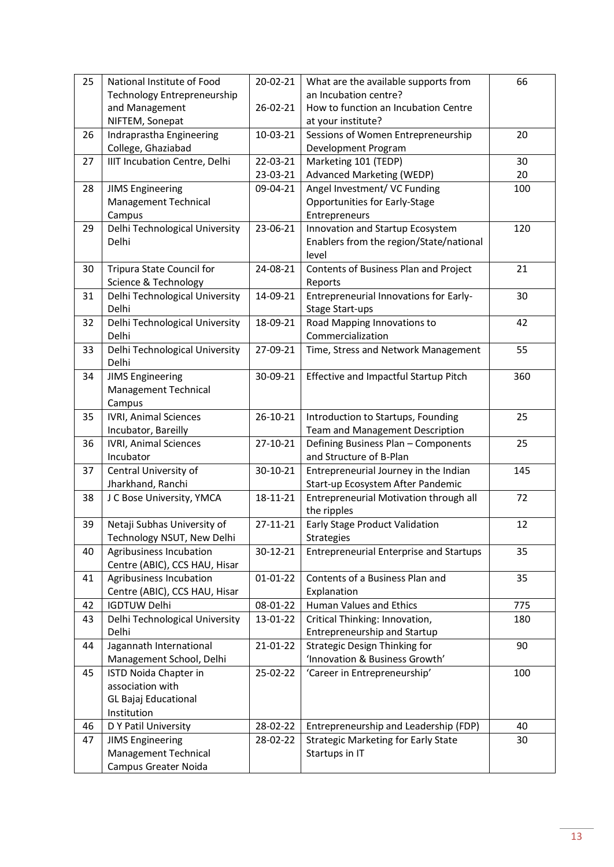| 25 | National Institute of Food                               | 20-02-21 | What are the available supports from                                        | 66  |
|----|----------------------------------------------------------|----------|-----------------------------------------------------------------------------|-----|
|    | Technology Entrepreneurship                              |          | an Incubation centre?                                                       |     |
|    | and Management                                           | 26-02-21 | How to function an Incubation Centre                                        |     |
|    | NIFTEM, Sonepat                                          |          | at your institute?                                                          |     |
| 26 | Indraprastha Engineering                                 | 10-03-21 | Sessions of Women Entrepreneurship                                          | 20  |
|    | College, Ghaziabad                                       |          | Development Program                                                         |     |
| 27 | IIIT Incubation Centre, Delhi                            | 22-03-21 | Marketing 101 (TEDP)                                                        | 30  |
|    |                                                          | 23-03-21 | Advanced Marketing (WEDP)                                                   | 20  |
| 28 | <b>JIMS Engineering</b>                                  | 09-04-21 | Angel Investment/ VC Funding                                                | 100 |
|    | Management Technical                                     |          | Opportunities for Early-Stage                                               |     |
|    | Campus                                                   | 23-06-21 | Entrepreneurs                                                               | 120 |
| 29 | Delhi Technological University<br>Delhi                  |          | Innovation and Startup Ecosystem<br>Enablers from the region/State/national |     |
|    |                                                          |          | level                                                                       |     |
| 30 | Tripura State Council for                                | 24-08-21 | Contents of Business Plan and Project                                       | 21  |
|    | Science & Technology                                     |          | Reports                                                                     |     |
| 31 | Delhi Technological University                           | 14-09-21 | Entrepreneurial Innovations for Early-                                      | 30  |
|    | Delhi                                                    |          | <b>Stage Start-ups</b>                                                      |     |
| 32 | Delhi Technological University                           | 18-09-21 | Road Mapping Innovations to                                                 | 42  |
|    | Delhi                                                    |          | Commercialization                                                           |     |
| 33 | Delhi Technological University                           | 27-09-21 | Time, Stress and Network Management                                         | 55  |
|    | Delhi                                                    |          |                                                                             |     |
| 34 | <b>JIMS Engineering</b>                                  | 30-09-21 | Effective and Impactful Startup Pitch                                       | 360 |
|    | <b>Management Technical</b>                              |          |                                                                             |     |
|    | Campus                                                   |          |                                                                             |     |
| 35 | <b>IVRI, Animal Sciences</b>                             | 26-10-21 | Introduction to Startups, Founding                                          | 25  |
|    | Incubator, Bareilly                                      |          | <b>Team and Management Description</b>                                      |     |
| 36 | <b>IVRI, Animal Sciences</b>                             | 27-10-21 | Defining Business Plan - Components                                         | 25  |
|    | Incubator                                                |          | and Structure of B-Plan                                                     |     |
| 37 | Central University of                                    | 30-10-21 | Entrepreneurial Journey in the Indian                                       | 145 |
|    | Jharkhand, Ranchi                                        |          | Start-up Ecosystem After Pandemic                                           |     |
| 38 | J C Bose University, YMCA                                | 18-11-21 | Entrepreneurial Motivation through all                                      | 72  |
|    |                                                          |          | the ripples                                                                 |     |
| 39 | Netaji Subhas University of                              | 27-11-21 | Early Stage Product Validation                                              | 12  |
|    | Technology NSUT, New Delhi                               |          | <b>Strategies</b>                                                           |     |
| 40 | Agribusiness Incubation                                  | 30-12-21 | <b>Entrepreneurial Enterprise and Startups</b>                              | 35  |
| 41 | Centre (ABIC), CCS HAU, Hisar<br>Agribusiness Incubation | 01-01-22 | Contents of a Business Plan and                                             | 35  |
|    | Centre (ABIC), CCS HAU, Hisar                            |          | Explanation                                                                 |     |
| 42 | <b>IGDTUW Delhi</b>                                      | 08-01-22 | Human Values and Ethics                                                     | 775 |
| 43 | Delhi Technological University                           | 13-01-22 | Critical Thinking: Innovation,                                              | 180 |
|    | Delhi                                                    |          | Entrepreneurship and Startup                                                |     |
| 44 | Jagannath International                                  | 21-01-22 | <b>Strategic Design Thinking for</b>                                        | 90  |
|    | Management School, Delhi                                 |          | 'Innovation & Business Growth'                                              |     |
| 45 | ISTD Noida Chapter in                                    | 25-02-22 | 'Career in Entrepreneurship'                                                | 100 |
|    | association with                                         |          |                                                                             |     |
|    | <b>GL Bajaj Educational</b>                              |          |                                                                             |     |
|    | Institution                                              |          |                                                                             |     |
| 46 | D Y Patil University                                     | 28-02-22 | Entrepreneurship and Leadership (FDP)                                       | 40  |
| 47 | <b>JIMS Engineering</b>                                  | 28-02-22 | <b>Strategic Marketing for Early State</b>                                  | 30  |
|    | Management Technical                                     |          | Startups in IT                                                              |     |
|    | Campus Greater Noida                                     |          |                                                                             |     |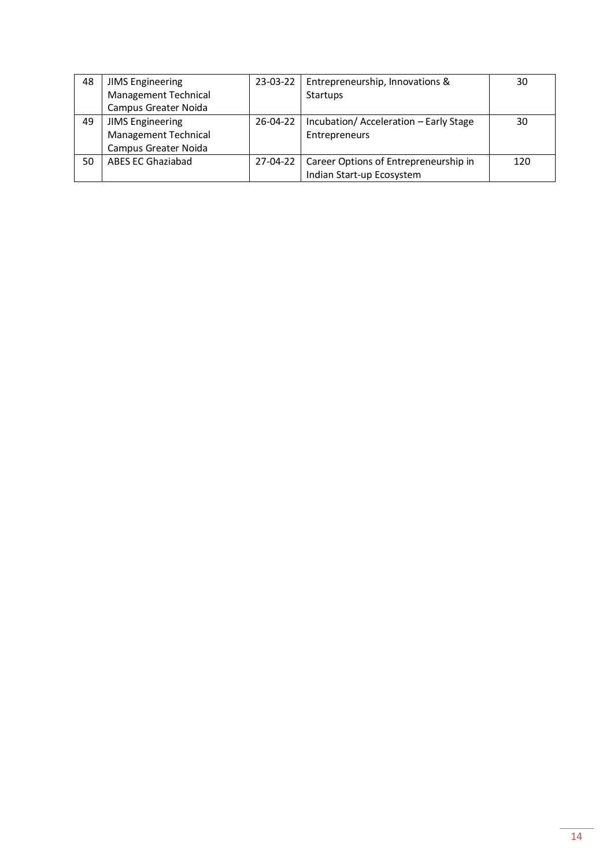| 48 | <b>JIMS Engineering</b>  | 23-03-22 | Entrepreneurship, Innovations &                  | 30  |
|----|--------------------------|----------|--------------------------------------------------|-----|
|    | Management Technical     |          | <b>Startups</b>                                  |     |
|    | Campus Greater Noida     |          |                                                  |     |
| 49 | <b>JIMS Engineering</b>  | 26-04-22 | Incubation/Acceleration - Early Stage            | 30  |
|    | Management Technical     |          | Entrepreneurs                                    |     |
|    | Campus Greater Noida     |          |                                                  |     |
| 50 | <b>ABES EC Ghaziabad</b> |          | 27-04-22   Career Options of Entrepreneurship in | 120 |
|    |                          |          | Indian Start-up Ecosystem                        |     |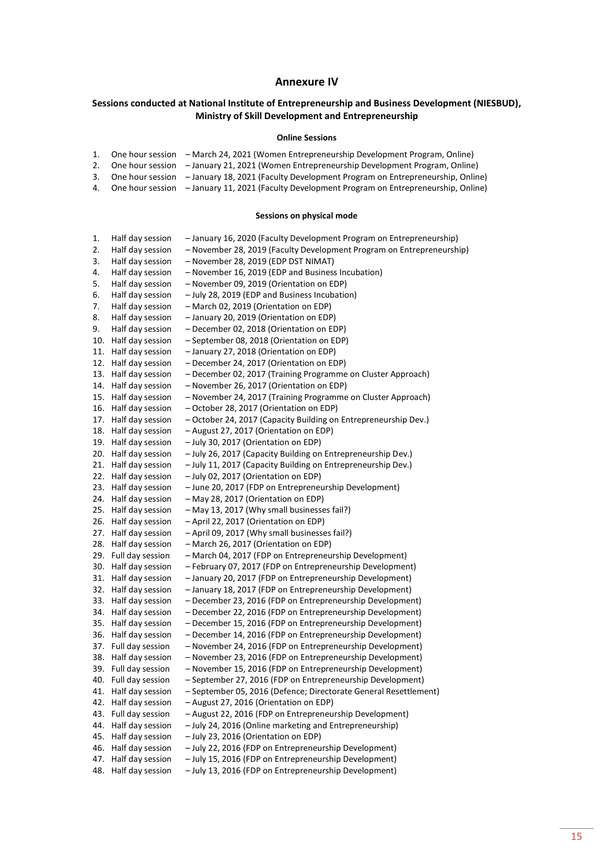#### **Annexure IV**

### **Sessions conducted at National Institute of Entrepreneurship and Business Development (NIESBUD), Ministry of Skill Development and Entrepreneurship**

#### **Online Sessions**

|  | 1. One hour session – March 24, 2021 (Women Entrepreneurship Development Program, Online)        |
|--|--------------------------------------------------------------------------------------------------|
|  | 2. One hour session – January 21, 2021 (Women Entrepreneurship Development Program, Online)      |
|  | 3. One hour session - January 18, 2021 (Faculty Development Program on Entrepreneurship, Online) |

4. One hour session – January 11, 2021 (Faculty Development Program on Entrepreneurship, Online)

#### **Sessions on physical mode**

| 1.  | Half day session     | - January 16, 2020 (Faculty Development Program on Entrepreneurship)  |
|-----|----------------------|-----------------------------------------------------------------------|
| 2.  | Half day session     | - November 28, 2019 (Faculty Development Program on Entrepreneurship) |
| 3.  | Half day session     | - November 28, 2019 (EDP DST NIMAT)                                   |
| 4.  | Half day session     | - November 16, 2019 (EDP and Business Incubation)                     |
| 5.  | Half day session     | - November 09, 2019 (Orientation on EDP)                              |
| 6.  | Half day session     | - July 28, 2019 (EDP and Business Incubation)                         |
| 7.  | Half day session     | - March 02, 2019 (Orientation on EDP)                                 |
| 8.  | Half day session     | - January 20, 2019 (Orientation on EDP)                               |
| 9.  | Half day session     | - December 02, 2018 (Orientation on EDP)                              |
| 10. | Half day session     | - September 08, 2018 (Orientation on EDP)                             |
| 11. | Half day session     | - January 27, 2018 (Orientation on EDP)                               |
| 12. | Half day session     | - December 24, 2017 (Orientation on EDP)                              |
| 13. | Half day session     | - December 02, 2017 (Training Programme on Cluster Approach)          |
| 14. | Half day session     | - November 26, 2017 (Orientation on EDP)                              |
| 15. | Half day session     | - November 24, 2017 (Training Programme on Cluster Approach)          |
| 16. | Half day session     | - October 28, 2017 (Orientation on EDP)                               |
| 17. | Half day session     | - October 24, 2017 (Capacity Building on Entrepreneurship Dev.)       |
| 18. | Half day session     | - August 27, 2017 (Orientation on EDP)                                |
| 19. | Half day session     | - July 30, 2017 (Orientation on EDP)                                  |
| 20. | Half day session     | - July 26, 2017 (Capacity Building on Entrepreneurship Dev.)          |
| 21. | Half day session     | - July 11, 2017 (Capacity Building on Entrepreneurship Dev.)          |
| 22. | Half day session     | - July 02, 2017 (Orientation on EDP)                                  |
| 23. | Half day session     | - June 20, 2017 (FDP on Entrepreneurship Development)                 |
| 24. | Half day session     | - May 28, 2017 (Orientation on EDP)                                   |
| 25. | Half day session     | - May 13, 2017 (Why small businesses fail?)                           |
| 26. | Half day session     | - April 22, 2017 (Orientation on EDP)                                 |
| 27. | Half day session     | - April 09, 2017 (Why small businesses fail?)                         |
| 28. | Half day session     | - March 26, 2017 (Orientation on EDP)                                 |
| 29. | Full day session     | - March 04, 2017 (FDP on Entrepreneurship Development)                |
| 30. | Half day session     | - February 07, 2017 (FDP on Entrepreneurship Development)             |
| 31. | Half day session     | - January 20, 2017 (FDP on Entrepreneurship Development)              |
| 32. | Half day session     | - January 18, 2017 (FDP on Entrepreneurship Development)              |
| 33. | Half day session     | - December 23, 2016 (FDP on Entrepreneurship Development)             |
| 34. | Half day session     | - December 22, 2016 (FDP on Entrepreneurship Development)             |
| 35. | Half day session     | - December 15, 2016 (FDP on Entrepreneurship Development)             |
| 36. | Half day session     | - December 14, 2016 (FDP on Entrepreneurship Development)             |
| 37. | Full day session     | - November 24, 2016 (FDP on Entrepreneurship Development)             |
| 38. | Half day session     | - November 23, 2016 (FDP on Entrepreneurship Development)             |
| 39. | Full day session     | - November 15, 2016 (FDP on Entrepreneurship Development)             |
|     | 40. Full day session | - September 27, 2016 (FDP on Entrepreneurship Development)            |
|     | 41. Half day session | - September 05, 2016 (Defence; Directorate General Resettlement)      |
| 42. | Half day session     | - August 27, 2016 (Orientation on EDP)                                |
| 43. | Full day session     | - August 22, 2016 (FDP on Entrepreneurship Development)               |
| 44. | Half day session     | - July 24, 2016 (Online marketing and Entrepreneurship)               |
| 45. | Half day session     | - July 23, 2016 (Orientation on EDP)                                  |
| 46. | Half day session     | - July 22, 2016 (FDP on Entrepreneurship Development)                 |
| 47. | Half day session     | - July 15, 2016 (FDP on Entrepreneurship Development)                 |
| 48. | Half day session     | - July 13, 2016 (FDP on Entrepreneurship Development)                 |
|     |                      |                                                                       |